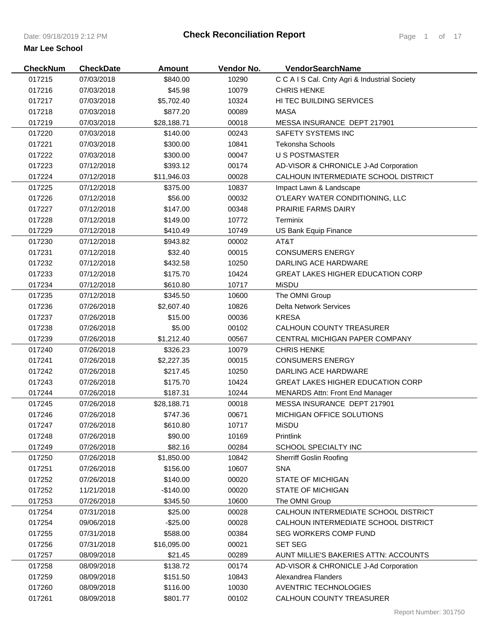| <b>CheckNum</b> | <b>CheckDate</b> | <b>Amount</b> | Vendor No. | VendorSearchName                              |
|-----------------|------------------|---------------|------------|-----------------------------------------------|
| 017215          | 07/03/2018       | \$840.00      | 10290      | C C A I S Cal. Cnty Agri & Industrial Society |
| 017216          | 07/03/2018       | \$45.98       | 10079      | <b>CHRIS HENKE</b>                            |
| 017217          | 07/03/2018       | \$5,702.40    | 10324      | <b>HI TEC BUILDING SERVICES</b>               |
| 017218          | 07/03/2018       | \$877.20      | 00089      | <b>MASA</b>                                   |
| 017219          | 07/03/2018       | \$28,188.71   | 00018      | MESSA INSURANCE DEPT 217901                   |
| 017220          | 07/03/2018       | \$140.00      | 00243      | <b>SAFETY SYSTEMS INC</b>                     |
| 017221          | 07/03/2018       | \$300.00      | 10841      | <b>Tekonsha Schools</b>                       |
| 017222          | 07/03/2018       | \$300.00      | 00047      | <b>U S POSTMASTER</b>                         |
| 017223          | 07/12/2018       | \$393.12      | 00174      | AD-VISOR & CHRONICLE J-Ad Corporation         |
| 017224          | 07/12/2018       | \$11,946.03   | 00028      | CALHOUN INTERMEDIATE SCHOOL DISTRICT          |
| 017225          | 07/12/2018       | \$375.00      | 10837      | Impact Lawn & Landscape                       |
| 017226          | 07/12/2018       | \$56.00       | 00032      | O'LEARY WATER CONDITIONING, LLC               |
| 017227          | 07/12/2018       | \$147.00      | 00348      | <b>PRAIRIE FARMS DAIRY</b>                    |
| 017228          | 07/12/2018       | \$149.00      | 10772      | Terminix                                      |
| 017229          | 07/12/2018       | \$410.49      | 10749      | US Bank Equip Finance                         |
| 017230          | 07/12/2018       | \$943.82      | 00002      | AT&T                                          |
| 017231          | 07/12/2018       | \$32.40       | 00015      | <b>CONSUMERS ENERGY</b>                       |
| 017232          | 07/12/2018       | \$432.58      | 10250      | DARLING ACE HARDWARE                          |
| 017233          | 07/12/2018       | \$175.70      | 10424      | <b>GREAT LAKES HIGHER EDUCATION CORP</b>      |
| 017234          | 07/12/2018       | \$610.80      | 10717      | <b>MiSDU</b>                                  |
| 017235          | 07/12/2018       | \$345.50      | 10600      | The OMNI Group                                |
| 017236          | 07/26/2018       | \$2,607.40    | 10826      | Delta Network Services                        |
| 017237          | 07/26/2018       | \$15.00       | 00036      | <b>KRESA</b>                                  |
| 017238          | 07/26/2018       | \$5.00        | 00102      | CALHOUN COUNTY TREASURER                      |
| 017239          | 07/26/2018       | \$1,212.40    | 00567      | CENTRAL MICHIGAN PAPER COMPANY                |
| 017240          | 07/26/2018       | \$326.23      | 10079      | <b>CHRIS HENKE</b>                            |
| 017241          | 07/26/2018       | \$2,227.35    | 00015      | <b>CONSUMERS ENERGY</b>                       |
| 017242          | 07/26/2018       | \$217.45      | 10250      | DARLING ACE HARDWARE                          |
| 017243          | 07/26/2018       | \$175.70      | 10424      | <b>GREAT LAKES HIGHER EDUCATION CORP</b>      |
| 017244          | 07/26/2018       | \$187.31      | 10244      | <b>MENARDS Attn: Front End Manager</b>        |
| 017245          | 07/26/2018       | \$28,188.71   | 00018      | MESSA INSURANCE DEPT 217901                   |
| 017246          | 07/26/2018       | \$747.36      | 00671      | MICHIGAN OFFICE SOLUTIONS                     |
| 017247          | 07/26/2018       | \$610.80      | 10717      | <b>MiSDU</b>                                  |
| 017248          | 07/26/2018       | \$90.00       | 10169      | Printlink                                     |
| 017249          | 07/26/2018       | \$82.16       | 00284      | SCHOOL SPECIALTY INC                          |
| 017250          | 07/26/2018       | \$1,850.00    | 10842      | <b>Sherriff Goslin Roofing</b>                |
| 017251          | 07/26/2018       | \$156.00      | 10607      | <b>SNA</b>                                    |
| 017252          | 07/26/2018       | \$140.00      | 00020      | <b>STATE OF MICHIGAN</b>                      |
| 017252          | 11/21/2018       | $-$140.00$    | 00020      | <b>STATE OF MICHIGAN</b>                      |
| 017253          | 07/26/2018       | \$345.50      | 10600      | The OMNI Group                                |
| 017254          | 07/31/2018       | \$25.00       | 00028      | CALHOUN INTERMEDIATE SCHOOL DISTRICT          |
| 017254          | 09/06/2018       | $-$25.00$     | 00028      | CALHOUN INTERMEDIATE SCHOOL DISTRICT          |
| 017255          | 07/31/2018       | \$588.00      | 00384      | SEG WORKERS COMP FUND                         |
| 017256          | 07/31/2018       | \$16,095.00   | 00021      | <b>SET SEG</b>                                |
| 017257          | 08/09/2018       | \$21.45       | 00289      | AUNT MILLIE'S BAKERIES ATTN: ACCOUNTS         |
| 017258          | 08/09/2018       | \$138.72      | 00174      | AD-VISOR & CHRONICLE J-Ad Corporation         |
| 017259          | 08/09/2018       | \$151.50      | 10843      | Alexandrea Flanders                           |
| 017260          | 08/09/2018       | \$116.00      | 10030      | <b>AVENTRIC TECHNOLOGIES</b>                  |
| 017261          | 08/09/2018       | \$801.77      | 00102      | CALHOUN COUNTY TREASURER                      |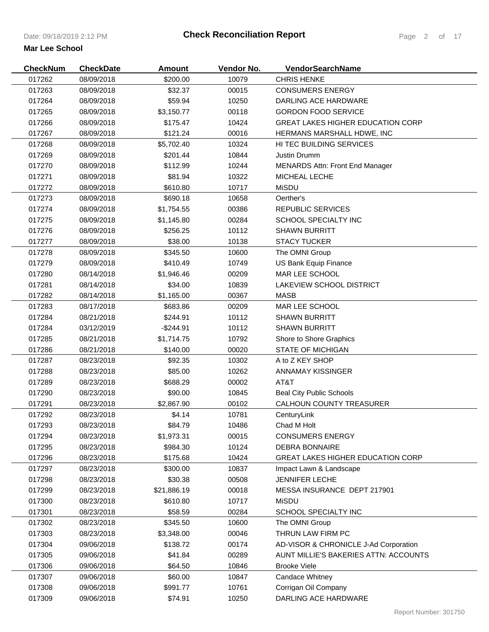| <b>CheckNum</b> | <b>CheckDate</b> | <b>Amount</b> | Vendor No. | VendorSearchName                         |
|-----------------|------------------|---------------|------------|------------------------------------------|
| 017262          | 08/09/2018       | \$200.00      | 10079      | <b>CHRIS HENKE</b>                       |
| 017263          | 08/09/2018       | \$32.37       | 00015      | <b>CONSUMERS ENERGY</b>                  |
| 017264          | 08/09/2018       | \$59.94       | 10250      | DARLING ACE HARDWARE                     |
| 017265          | 08/09/2018       | \$3,150.77    | 00118      | <b>GORDON FOOD SERVICE</b>               |
| 017266          | 08/09/2018       | \$175.47      | 10424      | <b>GREAT LAKES HIGHER EDUCATION CORP</b> |
| 017267          | 08/09/2018       | \$121.24      | 00016      | <b>HERMANS MARSHALL HDWE, INC</b>        |
| 017268          | 08/09/2018       | \$5,702.40    | 10324      | HI TEC BUILDING SERVICES                 |
| 017269          | 08/09/2018       | \$201.44      | 10844      | Justin Drumm                             |
| 017270          | 08/09/2018       | \$112.99      | 10244      | <b>MENARDS Attn: Front End Manager</b>   |
| 017271          | 08/09/2018       | \$81.94       | 10322      | MICHEAL LECHE                            |
| 017272          | 08/09/2018       | \$610.80      | 10717      | <b>MiSDU</b>                             |
| 017273          | 08/09/2018       | \$690.18      | 10658      | Oerther's                                |
| 017274          | 08/09/2018       | \$1,754.55    | 00386      | <b>REPUBLIC SERVICES</b>                 |
| 017275          | 08/09/2018       | \$1,145.80    | 00284      | SCHOOL SPECIALTY INC                     |
| 017276          | 08/09/2018       | \$256.25      | 10112      | <b>SHAWN BURRITT</b>                     |
| 017277          | 08/09/2018       | \$38.00       | 10138      | <b>STACY TUCKER</b>                      |
| 017278          | 08/09/2018       | \$345.50      | 10600      | The OMNI Group                           |
| 017279          | 08/09/2018       | \$410.49      | 10749      | US Bank Equip Finance                    |
| 017280          | 08/14/2018       | \$1,946.46    | 00209      | MAR LEE SCHOOL                           |
| 017281          | 08/14/2018       | \$34.00       | 10839      | LAKEVIEW SCHOOL DISTRICT                 |
| 017282          | 08/14/2018       | \$1,165.00    | 00367      | <b>MASB</b>                              |
| 017283          | 08/17/2018       | \$683.86      | 00209      | MAR LEE SCHOOL                           |
| 017284          | 08/21/2018       | \$244.91      | 10112      | <b>SHAWN BURRITT</b>                     |
| 017284          | 03/12/2019       | -\$244.91     | 10112      | <b>SHAWN BURRITT</b>                     |
| 017285          | 08/21/2018       | \$1,714.75    | 10792      | Shore to Shore Graphics                  |
| 017286          | 08/21/2018       | \$140.00      | 00020      | <b>STATE OF MICHIGAN</b>                 |
| 017287          | 08/23/2018       | \$92.35       | 10302      | A to Z KEY SHOP                          |
| 017288          | 08/23/2018       | \$85.00       | 10262      | <b>ANNAMAY KISSINGER</b>                 |
| 017289          | 08/23/2018       | \$688.29      | 00002      | AT&T                                     |
| 017290          | 08/23/2018       | \$90.00       | 10845      | <b>Beal City Public Schools</b>          |
| 017291          | 08/23/2018       | \$2,867.90    | 00102      | CALHOUN COUNTY TREASURER                 |
| 017292          | 08/23/2018       | \$4.14        | 10781      | CenturyLink                              |
| 017293          | 08/23/2018       | \$84.79       | 10486      | Chad M Holt                              |
| 017294          | 08/23/2018       | \$1,973.31    | 00015      | <b>CONSUMERS ENERGY</b>                  |
| 017295          | 08/23/2018       | \$984.30      | 10124      | <b>DEBRA BONNAIRE</b>                    |
| 017296          | 08/23/2018       | \$175.68      | 10424      | <b>GREAT LAKES HIGHER EDUCATION CORP</b> |
| 017297          | 08/23/2018       | \$300.00      | 10837      | Impact Lawn & Landscape                  |
| 017298          | 08/23/2018       | \$30.38       | 00508      | <b>JENNIFER LECHE</b>                    |
| 017299          | 08/23/2018       | \$21,886.19   | 00018      | MESSA INSURANCE DEPT 217901              |
| 017300          | 08/23/2018       | \$610.80      | 10717      | <b>MiSDU</b>                             |
| 017301          | 08/23/2018       | \$58.59       | 00284      | SCHOOL SPECIALTY INC                     |
| 017302          | 08/23/2018       | \$345.50      | 10600      | The OMNI Group                           |
| 017303          | 08/23/2018       | \$3,348.00    | 00046      | THRUN LAW FIRM PC                        |
| 017304          | 09/06/2018       | \$138.72      | 00174      | AD-VISOR & CHRONICLE J-Ad Corporation    |
| 017305          | 09/06/2018       | \$41.84       | 00289      | AUNT MILLIE'S BAKERIES ATTN: ACCOUNTS    |
| 017306          | 09/06/2018       | \$64.50       | 10846      | <b>Brooke Viele</b>                      |
| 017307          | 09/06/2018       | \$60.00       | 10847      | Candace Whitney                          |
| 017308          | 09/06/2018       | \$991.77      | 10761      | Corrigan Oil Company                     |
| 017309          | 09/06/2018       | \$74.91       | 10250      | DARLING ACE HARDWARE                     |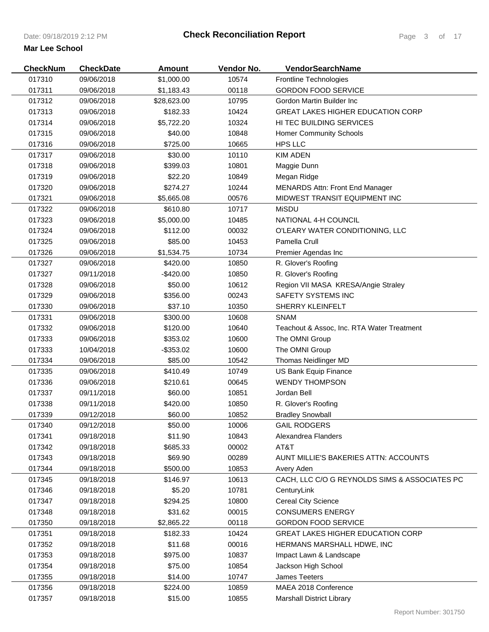| <b>CheckNum</b> | <b>CheckDate</b> | <b>Amount</b> | Vendor No. | <b>VendorSearchName</b>                       |
|-----------------|------------------|---------------|------------|-----------------------------------------------|
| 017310          | 09/06/2018       | \$1,000.00    | 10574      | Frontline Technologies                        |
| 017311          | 09/06/2018       | \$1,183.43    | 00118      | <b>GORDON FOOD SERVICE</b>                    |
| 017312          | 09/06/2018       | \$28,623.00   | 10795      | Gordon Martin Builder Inc                     |
| 017313          | 09/06/2018       | \$182.33      | 10424      | <b>GREAT LAKES HIGHER EDUCATION CORP</b>      |
| 017314          | 09/06/2018       | \$5,722.20    | 10324      | HI TEC BUILDING SERVICES                      |
| 017315          | 09/06/2018       | \$40.00       | 10848      | <b>Homer Community Schools</b>                |
| 017316          | 09/06/2018       | \$725.00      | 10665      | HPS LLC                                       |
| 017317          | 09/06/2018       | \$30.00       | 10110      | <b>KIM ADEN</b>                               |
| 017318          | 09/06/2018       | \$399.03      | 10801      | Maggie Dunn                                   |
| 017319          | 09/06/2018       | \$22.20       | 10849      | Megan Ridge                                   |
| 017320          | 09/06/2018       | \$274.27      | 10244      | <b>MENARDS Attn: Front End Manager</b>        |
| 017321          | 09/06/2018       | \$5,665.08    | 00576      | MIDWEST TRANSIT EQUIPMENT INC                 |
| 017322          | 09/06/2018       | \$610.80      | 10717      | MiSDU                                         |
| 017323          | 09/06/2018       | \$5,000.00    | 10485      | NATIONAL 4-H COUNCIL                          |
| 017324          | 09/06/2018       | \$112.00      | 00032      | O'LEARY WATER CONDITIONING, LLC               |
| 017325          | 09/06/2018       | \$85.00       | 10453      | Pamella Crull                                 |
| 017326          | 09/06/2018       | \$1,534.75    | 10734      | Premier Agendas Inc                           |
| 017327          | 09/06/2018       | \$420.00      | 10850      | R. Glover's Roofing                           |
| 017327          | 09/11/2018       | $-$420.00$    | 10850      | R. Glover's Roofing                           |
| 017328          | 09/06/2018       | \$50.00       | 10612      | Region VII MASA KRESA/Angie Straley           |
| 017329          | 09/06/2018       | \$356.00      | 00243      | SAFETY SYSTEMS INC                            |
| 017330          | 09/06/2018       | \$37.10       | 10350      | SHERRY KLEINFELT                              |
| 017331          | 09/06/2018       | \$300.00      | 10608      | <b>SNAM</b>                                   |
| 017332          | 09/06/2018       | \$120.00      | 10640      | Teachout & Assoc, Inc. RTA Water Treatment    |
| 017333          | 09/06/2018       | \$353.02      | 10600      | The OMNI Group                                |
| 017333          | 10/04/2018       | $-$ \$353.02  | 10600      | The OMNI Group                                |
| 017334          | 09/06/2018       | \$85.00       | 10542      | Thomas Neidlinger MD                          |
| 017335          | 09/06/2018       | \$410.49      | 10749      | US Bank Equip Finance                         |
| 017336          | 09/06/2018       | \$210.61      | 00645      | <b>WENDY THOMPSON</b>                         |
| 017337          | 09/11/2018       | \$60.00       | 10851      | Jordan Bell                                   |
| 017338          | 09/11/2018       | \$420.00      | 10850      | R. Glover's Roofing                           |
| 017339          | 09/12/2018       | \$60.00       | 10852      | <b>Bradley Snowball</b>                       |
| 017340          | 09/12/2018       | \$50.00       | 10006      | <b>GAIL RODGERS</b>                           |
| 017341          | 09/18/2018       | \$11.90       | 10843      | Alexandrea Flanders                           |
| 017342          | 09/18/2018       | \$685.33      | 00002      | AT&T                                          |
| 017343          | 09/18/2018       | \$69.90       | 00289      | AUNT MILLIE'S BAKERIES ATTN: ACCOUNTS         |
| 017344          | 09/18/2018       | \$500.00      | 10853      | Avery Aden                                    |
| 017345          | 09/18/2018       | \$146.97      | 10613      | CACH, LLC C/O G REYNOLDS SIMS & ASSOCIATES PC |
| 017346          | 09/18/2018       | \$5.20        | 10781      | CenturyLink                                   |
| 017347          | 09/18/2018       | \$294.25      | 10800      | <b>Cereal City Science</b>                    |
| 017348          | 09/18/2018       | \$31.62       | 00015      | <b>CONSUMERS ENERGY</b>                       |
| 017350          | 09/18/2018       | \$2,865.22    | 00118      | <b>GORDON FOOD SERVICE</b>                    |
| 017351          | 09/18/2018       | \$182.33      | 10424      | <b>GREAT LAKES HIGHER EDUCATION CORP</b>      |
| 017352          | 09/18/2018       | \$11.68       | 00016      | HERMANS MARSHALL HDWE, INC                    |
| 017353          | 09/18/2018       | \$975.00      | 10837      | Impact Lawn & Landscape                       |
| 017354          | 09/18/2018       | \$75.00       | 10854      | Jackson High School                           |
| 017355          | 09/18/2018       | \$14.00       | 10747      | <b>James Teeters</b>                          |
| 017356          | 09/18/2018       | \$224.00      | 10859      | MAEA 2018 Conference                          |
| 017357          | 09/18/2018       | \$15.00       | 10855      | <b>Marshall District Library</b>              |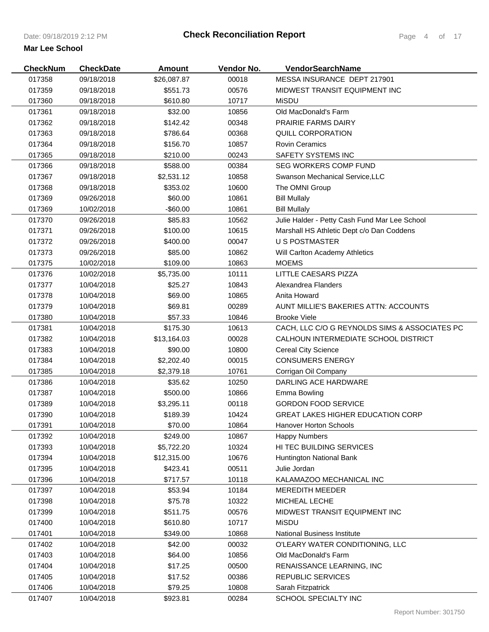| <b>CheckNum</b>  | <b>CheckDate</b> | <b>Amount</b> | Vendor No. | <b>VendorSearchName</b>                       |
|------------------|------------------|---------------|------------|-----------------------------------------------|
| 017358           | 09/18/2018       | \$26,087.87   | 00018      | MESSA INSURANCE DEPT 217901                   |
| 017359           | 09/18/2018       | \$551.73      | 00576      | MIDWEST TRANSIT EQUIPMENT INC                 |
| 017360           | 09/18/2018       | \$610.80      | 10717      | MiSDU                                         |
| 017361           | 09/18/2018       | \$32.00       | 10856      | Old MacDonald's Farm                          |
| 017362           | 09/18/2018       | \$142.42      | 00348      | <b>PRAIRIE FARMS DAIRY</b>                    |
| 017363           | 09/18/2018       | \$786.64      | 00368      | QUILL CORPORATION                             |
| 017364           | 09/18/2018       | \$156.70      | 10857      | <b>Rovin Ceramics</b>                         |
| 017365           | 09/18/2018       | \$210.00      | 00243      | <b>SAFETY SYSTEMS INC</b>                     |
| 017366           | 09/18/2018       | \$588.00      | 00384      | <b>SEG WORKERS COMP FUND</b>                  |
| 017367           | 09/18/2018       | \$2,531.12    | 10858      | Swanson Mechanical Service, LLC               |
| 017368           | 09/18/2018       | \$353.02      | 10600      | The OMNI Group                                |
| 017369           | 09/26/2018       | \$60.00       | 10861      | <b>Bill Mullaly</b>                           |
| 017369           | 10/02/2018       | $-$ \$60.00   | 10861      | <b>Bill Mullaly</b>                           |
| 017370           | 09/26/2018       | \$85.83       | 10562      | Julie Halder - Petty Cash Fund Mar Lee School |
| 017371           | 09/26/2018       | \$100.00      | 10615      | Marshall HS Athletic Dept c/o Dan Coddens     |
| 017372           | 09/26/2018       | \$400.00      | 00047      | <b>U S POSTMASTER</b>                         |
| 017373           | 09/26/2018       | \$85.00       | 10862      | Will Carlton Academy Athletics                |
|                  | 10/02/2018       |               | 10863      | <b>MOEMS</b>                                  |
| 017375<br>017376 | 10/02/2018       | \$109.00      | 10111      | LITTLE CAESARS PIZZA                          |
|                  |                  | \$5,735.00    |            |                                               |
| 017377           | 10/04/2018       | \$25.27       | 10843      | Alexandrea Flanders                           |
| 017378           | 10/04/2018       | \$69.00       | 10865      | Anita Howard                                  |
| 017379           | 10/04/2018       | \$69.81       | 00289      | AUNT MILLIE'S BAKERIES ATTN: ACCOUNTS         |
| 017380           | 10/04/2018       | \$57.33       | 10846      | <b>Brooke Viele</b>                           |
| 017381           | 10/04/2018       | \$175.30      | 10613      | CACH, LLC C/O G REYNOLDS SIMS & ASSOCIATES PC |
| 017382           | 10/04/2018       | \$13,164.03   | 00028      | CALHOUN INTERMEDIATE SCHOOL DISTRICT          |
| 017383           | 10/04/2018       | \$90.00       | 10800      | <b>Cereal City Science</b>                    |
| 017384           | 10/04/2018       | \$2,202.40    | 00015      | <b>CONSUMERS ENERGY</b>                       |
| 017385           | 10/04/2018       | \$2,379.18    | 10761      | Corrigan Oil Company                          |
| 017386           | 10/04/2018       | \$35.62       | 10250      | <b>DARLING ACE HARDWARE</b>                   |
| 017387           | 10/04/2018       | \$500.00      | 10866      | Emma Bowling                                  |
| 017389           | 10/04/2018       | \$3,295.11    | 00118      | <b>GORDON FOOD SERVICE</b>                    |
| 017390           | 10/04/2018       | \$189.39      | 10424      | <b>GREAT LAKES HIGHER EDUCATION CORP</b>      |
| 017391           | 10/04/2018       | \$70.00       | 10864      | Hanover Horton Schools                        |
| 017392           | 10/04/2018       | \$249.00      | 10867      | <b>Happy Numbers</b>                          |
| 017393           | 10/04/2018       | \$5,722.20    | 10324      | HI TEC BUILDING SERVICES                      |
| 017394           | 10/04/2018       | \$12,315.00   | 10676      | Huntington National Bank                      |
| 017395           | 10/04/2018       | \$423.41      | 00511      | Julie Jordan                                  |
| 017396           | 10/04/2018       | \$717.57      | 10118      | KALAMAZOO MECHANICAL INC                      |
| 017397           | 10/04/2018       | \$53.94       | 10184      | <b>MEREDITH MEEDER</b>                        |
| 017398           | 10/04/2018       | \$75.78       | 10322      | MICHEAL LECHE                                 |
| 017399           | 10/04/2018       | \$511.75      | 00576      | MIDWEST TRANSIT EQUIPMENT INC                 |
| 017400           | 10/04/2018       | \$610.80      | 10717      | MiSDU                                         |
| 017401           | 10/04/2018       | \$349.00      | 10868      | <b>National Business Institute</b>            |
| 017402           | 10/04/2018       | \$42.00       | 00032      | O'LEARY WATER CONDITIONING, LLC               |
| 017403           | 10/04/2018       | \$64.00       | 10856      | Old MacDonald's Farm                          |
| 017404           | 10/04/2018       | \$17.25       | 00500      | RENAISSANCE LEARNING, INC                     |
| 017405           | 10/04/2018       | \$17.52       | 00386      | <b>REPUBLIC SERVICES</b>                      |
| 017406           | 10/04/2018       | \$79.25       | 10808      | Sarah Fitzpatrick                             |
| 017407           | 10/04/2018       | \$923.81      | 00284      | SCHOOL SPECIALTY INC                          |
|                  |                  |               |            |                                               |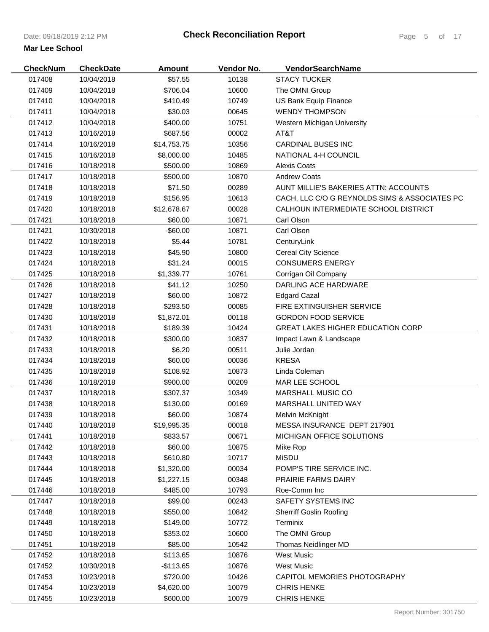| <b>CheckNum</b> | <b>CheckDate</b> | <b>Amount</b> | Vendor No. | VendorSearchName                              |
|-----------------|------------------|---------------|------------|-----------------------------------------------|
| 017408          | 10/04/2018       | \$57.55       | 10138      | <b>STACY TUCKER</b>                           |
| 017409          | 10/04/2018       | \$706.04      | 10600      | The OMNI Group                                |
| 017410          | 10/04/2018       | \$410.49      | 10749      | US Bank Equip Finance                         |
| 017411          | 10/04/2018       | \$30.03       | 00645      | <b>WENDY THOMPSON</b>                         |
| 017412          | 10/04/2018       | \$400.00      | 10751      | Western Michigan University                   |
| 017413          | 10/16/2018       | \$687.56      | 00002      | AT&T                                          |
| 017414          | 10/16/2018       | \$14,753.75   | 10356      | <b>CARDINAL BUSES INC</b>                     |
| 017415          | 10/16/2018       | \$8,000.00    | 10485      | NATIONAL 4-H COUNCIL                          |
| 017416          | 10/18/2018       | \$500.00      | 10869      | <b>Alexis Coats</b>                           |
| 017417          | 10/18/2018       | \$500.00      | 10870      | <b>Andrew Coats</b>                           |
| 017418          | 10/18/2018       | \$71.50       | 00289      | AUNT MILLIE'S BAKERIES ATTN: ACCOUNTS         |
| 017419          | 10/18/2018       | \$156.95      | 10613      | CACH, LLC C/O G REYNOLDS SIMS & ASSOCIATES PC |
| 017420          | 10/18/2018       | \$12,678.67   | 00028      | CALHOUN INTERMEDIATE SCHOOL DISTRICT          |
| 017421          | 10/18/2018       | \$60.00       | 10871      | Carl Olson                                    |
| 017421          | 10/30/2018       | $-$60.00$     | 10871      | Carl Olson                                    |
| 017422          | 10/18/2018       | \$5.44        | 10781      | CenturyLink                                   |
| 017423          | 10/18/2018       | \$45.90       | 10800      | <b>Cereal City Science</b>                    |
| 017424          | 10/18/2018       | \$31.24       | 00015      | <b>CONSUMERS ENERGY</b>                       |
| 017425          | 10/18/2018       | \$1,339.77    | 10761      | Corrigan Oil Company                          |
| 017426          | 10/18/2018       | \$41.12       | 10250      | <b>DARLING ACE HARDWARE</b>                   |
| 017427          | 10/18/2018       | \$60.00       | 10872      | <b>Edgard Cazal</b>                           |
| 017428          | 10/18/2018       | \$293.50      | 00085      | <b>FIRE EXTINGUISHER SERVICE</b>              |
| 017430          | 10/18/2018       | \$1,872.01    | 00118      | <b>GORDON FOOD SERVICE</b>                    |
| 017431          | 10/18/2018       | \$189.39      | 10424      | <b>GREAT LAKES HIGHER EDUCATION CORP</b>      |
| 017432          | 10/18/2018       | \$300.00      | 10837      | Impact Lawn & Landscape                       |
| 017433          | 10/18/2018       | \$6.20        | 00511      | Julie Jordan                                  |
| 017434          | 10/18/2018       | \$60.00       | 00036      | <b>KRESA</b>                                  |
| 017435          | 10/18/2018       | \$108.92      | 10873      | Linda Coleman                                 |
| 017436          | 10/18/2018       | \$900.00      | 00209      | MAR LEE SCHOOL                                |
| 017437          | 10/18/2018       | \$307.37      | 10349      | MARSHALL MUSIC CO                             |
| 017438          | 10/18/2018       | \$130.00      | 00169      | MARSHALL UNITED WAY                           |
| 017439          | 10/18/2018       | \$60.00       | 10874      | Melvin McKnight                               |
| 017440          | 10/18/2018       | \$19,995.35   | 00018      | MESSA INSURANCE DEPT 217901                   |
| 017441          | 10/18/2018       | \$833.57      | 00671      | MICHIGAN OFFICE SOLUTIONS                     |
| 017442          | 10/18/2018       | \$60.00       | 10875      | Mike Rop                                      |
| 017443          | 10/18/2018       | \$610.80      | 10717      | <b>MiSDU</b>                                  |
| 017444          | 10/18/2018       | \$1,320.00    | 00034      | POMP'S TIRE SERVICE INC.                      |
| 017445          | 10/18/2018       | \$1,227.15    | 00348      | <b>PRAIRIE FARMS DAIRY</b>                    |
| 017446          | 10/18/2018       | \$485.00      | 10793      | Roe-Comm Inc                                  |
| 017447          | 10/18/2018       | \$99.00       | 00243      | SAFETY SYSTEMS INC                            |
| 017448          | 10/18/2018       | \$550.00      | 10842      | <b>Sherriff Goslin Roofing</b>                |
| 017449          | 10/18/2018       | \$149.00      | 10772      | Terminix                                      |
| 017450          | 10/18/2018       | \$353.02      | 10600      | The OMNI Group                                |
| 017451          | 10/18/2018       | \$85.00       | 10542      | Thomas Neidlinger MD                          |
| 017452          | 10/18/2018       | \$113.65      | 10876      | <b>West Music</b>                             |
| 017452          | 10/30/2018       | $-$113.65$    | 10876      | <b>West Music</b>                             |
| 017453          | 10/23/2018       | \$720.00      | 10426      | CAPITOL MEMORIES PHOTOGRAPHY                  |
| 017454          | 10/23/2018       | \$4,620.00    | 10079      | <b>CHRIS HENKE</b>                            |
| 017455          | 10/23/2018       | \$600.00      | 10079      | <b>CHRIS HENKE</b>                            |
|                 |                  |               |            |                                               |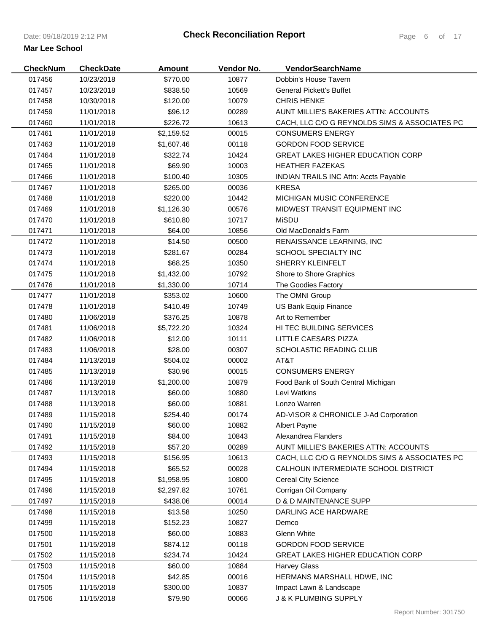| <b>CheckNum</b> | <b>CheckDate</b> | <b>Amount</b> | Vendor No. | <b>VendorSearchName</b>                       |
|-----------------|------------------|---------------|------------|-----------------------------------------------|
| 017456          | 10/23/2018       | \$770.00      | 10877      | Dobbin's House Tavern                         |
| 017457          | 10/23/2018       | \$838.50      | 10569      | <b>General Pickett's Buffet</b>               |
| 017458          | 10/30/2018       | \$120.00      | 10079      | <b>CHRIS HENKE</b>                            |
| 017459          | 11/01/2018       | \$96.12       | 00289      | AUNT MILLIE'S BAKERIES ATTN: ACCOUNTS         |
| 017460          | 11/01/2018       | \$226.72      | 10613      | CACH, LLC C/O G REYNOLDS SIMS & ASSOCIATES PC |
| 017461          | 11/01/2018       | \$2,159.52    | 00015      | <b>CONSUMERS ENERGY</b>                       |
| 017463          | 11/01/2018       | \$1,607.46    | 00118      | <b>GORDON FOOD SERVICE</b>                    |
| 017464          | 11/01/2018       | \$322.74      | 10424      | <b>GREAT LAKES HIGHER EDUCATION CORP</b>      |
| 017465          | 11/01/2018       | \$69.90       | 10003      | <b>HEATHER FAZEKAS</b>                        |
| 017466          | 11/01/2018       | \$100.40      | 10305      | <b>INDIAN TRAILS INC Attn: Accts Payable</b>  |
| 017467          | 11/01/2018       | \$265.00      | 00036      | <b>KRESA</b>                                  |
| 017468          | 11/01/2018       | \$220.00      | 10442      | MICHIGAN MUSIC CONFERENCE                     |
| 017469          | 11/01/2018       | \$1,126.30    | 00576      | MIDWEST TRANSIT EQUIPMENT INC                 |
| 017470          | 11/01/2018       | \$610.80      | 10717      | <b>MiSDU</b>                                  |
| 017471          | 11/01/2018       | \$64.00       | 10856      | Old MacDonald's Farm                          |
| 017472          | 11/01/2018       | \$14.50       | 00500      | RENAISSANCE LEARNING, INC                     |
| 017473          | 11/01/2018       | \$281.67      | 00284      | SCHOOL SPECIALTY INC                          |
| 017474          | 11/01/2018       | \$68.25       | 10350      | SHERRY KLEINFELT                              |
| 017475          | 11/01/2018       | \$1,432.00    | 10792      | Shore to Shore Graphics                       |
| 017476          | 11/01/2018       | \$1,330.00    | 10714      | The Goodies Factory                           |
| 017477          | 11/01/2018       | \$353.02      | 10600      | The OMNI Group                                |
| 017478          | 11/01/2018       | \$410.49      | 10749      | US Bank Equip Finance                         |
| 017480          | 11/06/2018       | \$376.25      | 10878      | Art to Remember                               |
| 017481          | 11/06/2018       | \$5,722.20    | 10324      | HI TEC BUILDING SERVICES                      |
| 017482          | 11/06/2018       | \$12.00       | 10111      | LITTLE CAESARS PIZZA                          |
| 017483          | 11/06/2018       | \$28.00       | 00307      | <b>SCHOLASTIC READING CLUB</b>                |
| 017484          | 11/13/2018       | \$504.02      | 00002      | AT&T                                          |
| 017485          | 11/13/2018       | \$30.96       | 00015      | <b>CONSUMERS ENERGY</b>                       |
| 017486          | 11/13/2018       | \$1,200.00    | 10879      | Food Bank of South Central Michigan           |
| 017487          | 11/13/2018       | \$60.00       | 10880      | Levi Watkins                                  |
| 017488          | 11/13/2018       | \$60.00       | 10881      | Lonzo Warren                                  |
| 017489          | 11/15/2018       | \$254.40      | 00174      | AD-VISOR & CHRONICLE J-Ad Corporation         |
| 017490          | 11/15/2018       | \$60.00       | 10882      | <b>Albert Payne</b>                           |
| 017491          | 11/15/2018       | \$84.00       | 10843      | Alexandrea Flanders                           |
| 017492          | 11/15/2018       | \$57.20       | 00289      | AUNT MILLIE'S BAKERIES ATTN: ACCOUNTS         |
| 017493          | 11/15/2018       | \$156.95      | 10613      | CACH, LLC C/O G REYNOLDS SIMS & ASSOCIATES PC |
| 017494          | 11/15/2018       | \$65.52       | 00028      | CALHOUN INTERMEDIATE SCHOOL DISTRICT          |
| 017495          | 11/15/2018       | \$1,958.95    | 10800      | <b>Cereal City Science</b>                    |
| 017496          | 11/15/2018       | \$2,297.82    | 10761      | Corrigan Oil Company                          |
| 017497          | 11/15/2018       | \$438.06      | 00014      | D & D MAINTENANCE SUPP                        |
| 017498          | 11/15/2018       | \$13.58       | 10250      | DARLING ACE HARDWARE                          |
| 017499          | 11/15/2018       | \$152.23      | 10827      | Demco                                         |
| 017500          | 11/15/2018       | \$60.00       | 10883      | Glenn White                                   |
| 017501          | 11/15/2018       | \$874.12      | 00118      | <b>GORDON FOOD SERVICE</b>                    |
| 017502          | 11/15/2018       | \$234.74      | 10424      | <b>GREAT LAKES HIGHER EDUCATION CORP</b>      |
| 017503          | 11/15/2018       | \$60.00       | 10884      | <b>Harvey Glass</b>                           |
| 017504          | 11/15/2018       | \$42.85       | 00016      | HERMANS MARSHALL HDWE, INC                    |
| 017505          | 11/15/2018       | \$300.00      | 10837      | Impact Lawn & Landscape                       |
| 017506          | 11/15/2018       | \$79.90       | 00066      | J & K PLUMBING SUPPLY                         |
|                 |                  |               |            |                                               |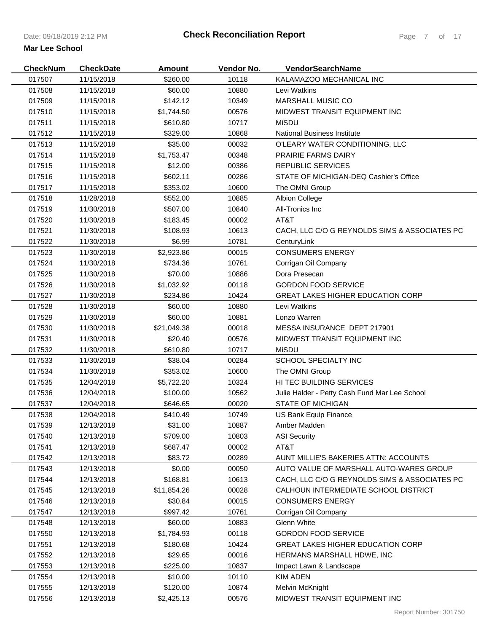| <b>CheckNum</b> | <b>CheckDate</b> | <b>Amount</b> | Vendor No. | VendorSearchName                              |
|-----------------|------------------|---------------|------------|-----------------------------------------------|
| 017507          | 11/15/2018       | \$260.00      | 10118      | KALAMAZOO MECHANICAL INC                      |
| 017508          | 11/15/2018       | \$60.00       | 10880      | Levi Watkins                                  |
| 017509          | 11/15/2018       | \$142.12      | 10349      | MARSHALL MUSIC CO                             |
| 017510          | 11/15/2018       | \$1,744.50    | 00576      | MIDWEST TRANSIT EQUIPMENT INC                 |
| 017511          | 11/15/2018       | \$610.80      | 10717      | <b>MiSDU</b>                                  |
| 017512          | 11/15/2018       | \$329.00      | 10868      | <b>National Business Institute</b>            |
| 017513          | 11/15/2018       | \$35.00       | 00032      | O'LEARY WATER CONDITIONING, LLC               |
| 017514          | 11/15/2018       | \$1,753.47    | 00348      | <b>PRAIRIE FARMS DAIRY</b>                    |
| 017515          | 11/15/2018       | \$12.00       | 00386      | <b>REPUBLIC SERVICES</b>                      |
| 017516          | 11/15/2018       | \$602.11      | 00286      | STATE OF MICHIGAN-DEQ Cashier's Office        |
| 017517          | 11/15/2018       | \$353.02      | 10600      | The OMNI Group                                |
| 017518          | 11/28/2018       | \$552.00      | 10885      | <b>Albion College</b>                         |
| 017519          | 11/30/2018       | \$507.00      | 10840      | All-Tronics Inc                               |
| 017520          | 11/30/2018       | \$183.45      | 00002      | AT&T                                          |
| 017521          | 11/30/2018       | \$108.93      | 10613      | CACH, LLC C/O G REYNOLDS SIMS & ASSOCIATES PC |
| 017522          | 11/30/2018       | \$6.99        | 10781      | CenturyLink                                   |
| 017523          | 11/30/2018       | \$2,923.86    | 00015      | <b>CONSUMERS ENERGY</b>                       |
| 017524          | 11/30/2018       | \$734.36      | 10761      | Corrigan Oil Company                          |
| 017525          | 11/30/2018       | \$70.00       | 10886      | Dora Presecan                                 |
| 017526          | 11/30/2018       | \$1,032.92    | 00118      | <b>GORDON FOOD SERVICE</b>                    |
| 017527          | 11/30/2018       | \$234.86      | 10424      | <b>GREAT LAKES HIGHER EDUCATION CORP</b>      |
| 017528          | 11/30/2018       | \$60.00       | 10880      | Levi Watkins                                  |
| 017529          | 11/30/2018       | \$60.00       | 10881      | Lonzo Warren                                  |
| 017530          | 11/30/2018       | \$21,049.38   | 00018      | MESSA INSURANCE DEPT 217901                   |
| 017531          | 11/30/2018       | \$20.40       | 00576      | MIDWEST TRANSIT EQUIPMENT INC                 |
| 017532          | 11/30/2018       | \$610.80      | 10717      | MiSDU                                         |
| 017533          | 11/30/2018       | \$38.04       | 00284      | SCHOOL SPECIALTY INC                          |
| 017534          | 11/30/2018       | \$353.02      | 10600      | The OMNI Group                                |
| 017535          | 12/04/2018       | \$5,722.20    | 10324      | HI TEC BUILDING SERVICES                      |
| 017536          | 12/04/2018       | \$100.00      | 10562      | Julie Halder - Petty Cash Fund Mar Lee School |
| 017537          | 12/04/2018       | \$646.65      | 00020      | <b>STATE OF MICHIGAN</b>                      |
| 017538          | 12/04/2018       | \$410.49      | 10749      | US Bank Equip Finance                         |
| 017539          | 12/13/2018       | \$31.00       | 10887      | Amber Madden                                  |
| 017540          | 12/13/2018       | \$709.00      | 10803      | <b>ASI Security</b>                           |
| 017541          | 12/13/2018       | \$687.47      | 00002      | AT&T                                          |
| 017542          | 12/13/2018       | \$83.72       | 00289      | AUNT MILLIE'S BAKERIES ATTN: ACCOUNTS         |
| 017543          | 12/13/2018       | \$0.00        | 00050      | AUTO VALUE OF MARSHALL AUTO-WARES GROUP       |
| 017544          | 12/13/2018       | \$168.81      | 10613      | CACH, LLC C/O G REYNOLDS SIMS & ASSOCIATES PC |
| 017545          | 12/13/2018       | \$11,854.26   | 00028      | CALHOUN INTERMEDIATE SCHOOL DISTRICT          |
| 017546          | 12/13/2018       | \$30.84       | 00015      | <b>CONSUMERS ENERGY</b>                       |
| 017547          | 12/13/2018       | \$997.42      | 10761      | Corrigan Oil Company                          |
| 017548          | 12/13/2018       | \$60.00       | 10883      | Glenn White                                   |
| 017550          | 12/13/2018       | \$1,784.93    | 00118      | <b>GORDON FOOD SERVICE</b>                    |
| 017551          | 12/13/2018       | \$180.68      | 10424      | <b>GREAT LAKES HIGHER EDUCATION CORP</b>      |
| 017552          | 12/13/2018       | \$29.65       | 00016      | HERMANS MARSHALL HDWE, INC                    |
| 017553          | 12/13/2018       | \$225.00      | 10837      | Impact Lawn & Landscape                       |
| 017554          | 12/13/2018       | \$10.00       | 10110      | <b>KIM ADEN</b>                               |
| 017555          | 12/13/2018       | \$120.00      | 10874      | Melvin McKnight                               |
| 017556          | 12/13/2018       | \$2,425.13    | 00576      | MIDWEST TRANSIT EQUIPMENT INC                 |
|                 |                  |               |            |                                               |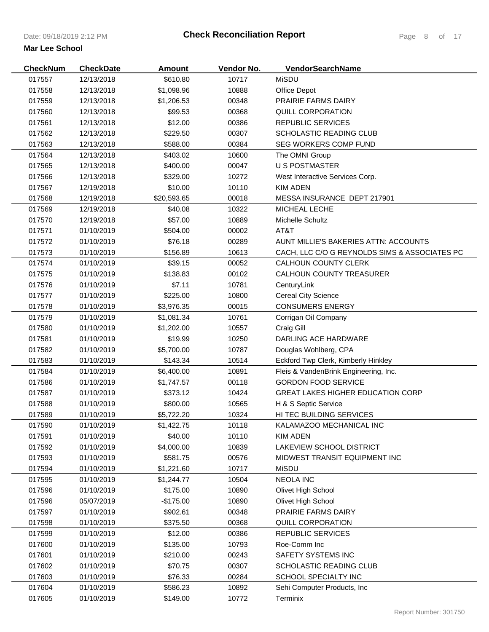| <b>CheckNum</b> | <b>CheckDate</b> | <b>Amount</b> | Vendor No. | <b>VendorSearchName</b>                       |
|-----------------|------------------|---------------|------------|-----------------------------------------------|
| 017557          | 12/13/2018       | \$610.80      | 10717      | <b>MiSDU</b>                                  |
| 017558          | 12/13/2018       | \$1,098.96    | 10888      | Office Depot                                  |
| 017559          | 12/13/2018       | \$1,206.53    | 00348      | <b>PRAIRIE FARMS DAIRY</b>                    |
| 017560          | 12/13/2018       | \$99.53       | 00368      | <b>QUILL CORPORATION</b>                      |
| 017561          | 12/13/2018       | \$12.00       | 00386      | <b>REPUBLIC SERVICES</b>                      |
| 017562          | 12/13/2018       | \$229.50      | 00307      | SCHOLASTIC READING CLUB                       |
| 017563          | 12/13/2018       | \$588.00      | 00384      | SEG WORKERS COMP FUND                         |
| 017564          | 12/13/2018       | \$403.02      | 10600      | The OMNI Group                                |
| 017565          | 12/13/2018       | \$400.00      | 00047      | <b>U S POSTMASTER</b>                         |
| 017566          | 12/13/2018       | \$329.00      | 10272      | West Interactive Services Corp.               |
| 017567          | 12/19/2018       | \$10.00       | 10110      | <b>KIM ADEN</b>                               |
| 017568          | 12/19/2018       | \$20,593.65   | 00018      | MESSA INSURANCE DEPT 217901                   |
| 017569          | 12/19/2018       | \$40.08       | 10322      | MICHEAL LECHE                                 |
| 017570          | 12/19/2018       | \$57.00       | 10889      | Michelle Schultz                              |
| 017571          | 01/10/2019       | \$504.00      | 00002      | AT&T                                          |
| 017572          | 01/10/2019       | \$76.18       | 00289      | AUNT MILLIE'S BAKERIES ATTN: ACCOUNTS         |
| 017573          | 01/10/2019       | \$156.89      | 10613      | CACH. LLC C/O G REYNOLDS SIMS & ASSOCIATES PC |
| 017574          | 01/10/2019       | \$39.15       | 00052      | CALHOUN COUNTY CLERK                          |
| 017575          | 01/10/2019       | \$138.83      | 00102      | CALHOUN COUNTY TREASURER                      |
| 017576          | 01/10/2019       | \$7.11        | 10781      | CenturyLink                                   |
| 017577          | 01/10/2019       | \$225.00      | 10800      | <b>Cereal City Science</b>                    |
| 017578          | 01/10/2019       | \$3,976.35    | 00015      | <b>CONSUMERS ENERGY</b>                       |
| 017579          | 01/10/2019       | \$1,081.34    | 10761      | Corrigan Oil Company                          |
| 017580          | 01/10/2019       | \$1,202.00    | 10557      | Craig Gill                                    |
| 017581          | 01/10/2019       | \$19.99       | 10250      | DARLING ACE HARDWARE                          |
| 017582          | 01/10/2019       | \$5,700.00    | 10787      | Douglas Wohlberg, CPA                         |
| 017583          | 01/10/2019       | \$143.34      | 10514      | Eckford Twp Clerk, Kimberly Hinkley           |
| 017584          | 01/10/2019       | \$6,400.00    | 10891      | Fleis & VandenBrink Engineering, Inc.         |
| 017586          | 01/10/2019       | \$1,747.57    | 00118      | <b>GORDON FOOD SERVICE</b>                    |
| 017587          | 01/10/2019       | \$373.12      | 10424      | <b>GREAT LAKES HIGHER EDUCATION CORP</b>      |
| 017588          | 01/10/2019       | \$800.00      | 10565      | H & S Septic Service                          |
| 017589          | 01/10/2019       | \$5,722.20    | 10324      | HI TEC BUILDING SERVICES                      |
| 017590          | 01/10/2019       | \$1,422.75    | 10118      | KALAMAZOO MECHANICAL INC                      |
| 017591          | 01/10/2019       | \$40.00       | 10110      | <b>KIM ADEN</b>                               |
| 017592          | 01/10/2019       | \$4,000.00    | 10839      | LAKEVIEW SCHOOL DISTRICT                      |
| 017593          | 01/10/2019       | \$581.75      | 00576      | MIDWEST TRANSIT EQUIPMENT INC                 |
| 017594          | 01/10/2019       | \$1,221.60    | 10717      | <b>MiSDU</b>                                  |
| 017595          | 01/10/2019       | \$1,244.77    | 10504      | <b>NEOLA INC</b>                              |
| 017596          | 01/10/2019       | \$175.00      | 10890      | Olivet High School                            |
| 017596          | 05/07/2019       | $-$175.00$    | 10890      | Olivet High School                            |
| 017597          | 01/10/2019       | \$902.61      | 00348      | PRAIRIE FARMS DAIRY                           |
| 017598          | 01/10/2019       | \$375.50      | 00368      | QUILL CORPORATION                             |
| 017599          | 01/10/2019       | \$12.00       | 00386      | <b>REPUBLIC SERVICES</b>                      |
| 017600          | 01/10/2019       | \$135.00      | 10793      | Roe-Comm Inc                                  |
| 017601          | 01/10/2019       | \$210.00      | 00243      | SAFETY SYSTEMS INC                            |
| 017602          | 01/10/2019       | \$70.75       | 00307      | SCHOLASTIC READING CLUB                       |
| 017603          | 01/10/2019       | \$76.33       | 00284      | SCHOOL SPECIALTY INC                          |
| 017604          | 01/10/2019       | \$586.23      | 10892      | Sehi Computer Products, Inc.                  |
| 017605          | 01/10/2019       | \$149.00      | 10772      | Terminix                                      |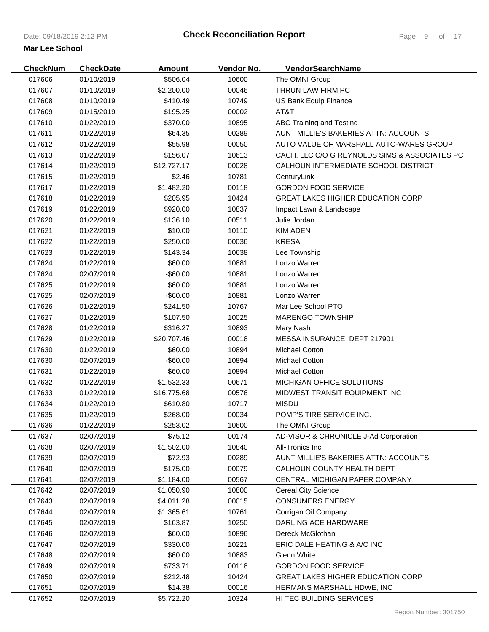| <b>CheckNum</b> | <b>CheckDate</b> | <b>Amount</b> | Vendor No. | <b>VendorSearchName</b>                       |
|-----------------|------------------|---------------|------------|-----------------------------------------------|
| 017606          | 01/10/2019       | \$506.04      | 10600      | The OMNI Group                                |
| 017607          | 01/10/2019       | \$2,200.00    | 00046      | THRUN LAW FIRM PC                             |
| 017608          | 01/10/2019       | \$410.49      | 10749      | US Bank Equip Finance                         |
| 017609          | 01/15/2019       | \$195.25      | 00002      | AT&T                                          |
| 017610          | 01/22/2019       | \$370.00      | 10895      | ABC Training and Testing                      |
| 017611          | 01/22/2019       | \$64.35       | 00289      | AUNT MILLIE'S BAKERIES ATTN: ACCOUNTS         |
| 017612          | 01/22/2019       | \$55.98       | 00050      | AUTO VALUE OF MARSHALL AUTO-WARES GROUP       |
| 017613          | 01/22/2019       | \$156.07      | 10613      | CACH, LLC C/O G REYNOLDS SIMS & ASSOCIATES PC |
| 017614          | 01/22/2019       | \$12,727.17   | 00028      | CALHOUN INTERMEDIATE SCHOOL DISTRICT          |
| 017615          | 01/22/2019       | \$2.46        | 10781      | CenturyLink                                   |
| 017617          | 01/22/2019       | \$1,482.20    | 00118      | <b>GORDON FOOD SERVICE</b>                    |
| 017618          | 01/22/2019       | \$205.95      | 10424      | <b>GREAT LAKES HIGHER EDUCATION CORP</b>      |
| 017619          | 01/22/2019       | \$920.00      | 10837      | Impact Lawn & Landscape                       |
| 017620          | 01/22/2019       | \$136.10      | 00511      | Julie Jordan                                  |
| 017621          | 01/22/2019       | \$10.00       | 10110      | <b>KIM ADEN</b>                               |
| 017622          | 01/22/2019       | \$250.00      | 00036      | <b>KRESA</b>                                  |
| 017623          | 01/22/2019       | \$143.34      | 10638      | Lee Township                                  |
| 017624          | 01/22/2019       | \$60.00       | 10881      | Lonzo Warren                                  |
| 017624          | 02/07/2019       | $-$60.00$     | 10881      | Lonzo Warren                                  |
| 017625          | 01/22/2019       | \$60.00       | 10881      | Lonzo Warren                                  |
| 017625          | 02/07/2019       | $-$ \$60.00   | 10881      | Lonzo Warren                                  |
| 017626          | 01/22/2019       | \$241.50      | 10767      | Mar Lee School PTO                            |
| 017627          | 01/22/2019       | \$107.50      | 10025      | MARENGO TOWNSHIP                              |
| 017628          | 01/22/2019       | \$316.27      | 10893      | Mary Nash                                     |
| 017629          | 01/22/2019       | \$20,707.46   | 00018      | MESSA INSURANCE DEPT 217901                   |
| 017630          | 01/22/2019       | \$60.00       | 10894      | <b>Michael Cotton</b>                         |
| 017630          | 02/07/2019       | -\$60.00      | 10894      | <b>Michael Cotton</b>                         |
| 017631          | 01/22/2019       | \$60.00       | 10894      | <b>Michael Cotton</b>                         |
| 017632          | 01/22/2019       | \$1,532.33    | 00671      | <b>MICHIGAN OFFICE SOLUTIONS</b>              |
| 017633          | 01/22/2019       | \$16,775.68   | 00576      | MIDWEST TRANSIT EQUIPMENT INC                 |
| 017634          | 01/22/2019       | \$610.80      | 10717      | <b>MiSDU</b>                                  |
| 017635          | 01/22/2019       | \$268.00      | 00034      | POMP'S TIRE SERVICE INC.                      |
| 017636          | 01/22/2019       | \$253.02      | 10600      | The OMNI Group                                |
| 017637          | 02/07/2019       | \$75.12       | 00174      | AD-VISOR & CHRONICLE J-Ad Corporation         |
| 017638          | 02/07/2019       | \$1,502.00    | 10840      | All-Tronics Inc                               |
| 017639          | 02/07/2019       | \$72.93       | 00289      | AUNT MILLIE'S BAKERIES ATTN: ACCOUNTS         |
| 017640          | 02/07/2019       | \$175.00      | 00079      | CALHOUN COUNTY HEALTH DEPT                    |
| 017641          | 02/07/2019       | \$1,184.00    | 00567      | CENTRAL MICHIGAN PAPER COMPANY                |
| 017642          | 02/07/2019       | \$1,050.90    | 10800      | <b>Cereal City Science</b>                    |
| 017643          | 02/07/2019       | \$4,011.28    | 00015      | <b>CONSUMERS ENERGY</b>                       |
| 017644          | 02/07/2019       | \$1,365.61    | 10761      | Corrigan Oil Company                          |
| 017645          | 02/07/2019       | \$163.87      | 10250      | DARLING ACE HARDWARE                          |
| 017646          | 02/07/2019       | \$60.00       | 10896      | Dereck McGlothan                              |
| 017647          | 02/07/2019       | \$330.00      | 10221      | ERIC DALE HEATING & A/C INC                   |
| 017648          | 02/07/2019       | \$60.00       | 10883      | Glenn White                                   |
| 017649          | 02/07/2019       | \$733.71      | 00118      | <b>GORDON FOOD SERVICE</b>                    |
| 017650          | 02/07/2019       | \$212.48      | 10424      | <b>GREAT LAKES HIGHER EDUCATION CORP</b>      |
| 017651          | 02/07/2019       | \$14.38       | 00016      | HERMANS MARSHALL HDWE, INC                    |
| 017652          | 02/07/2019       | \$5,722.20    | 10324      | HI TEC BUILDING SERVICES                      |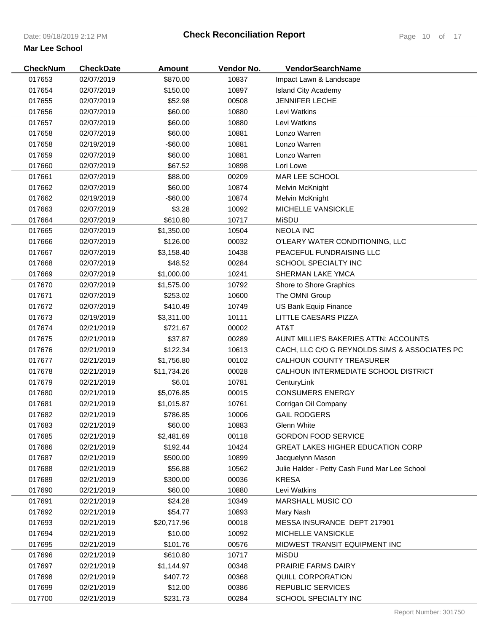| <b>CheckNum</b> | <b>CheckDate</b> | <b>Amount</b> | Vendor No. | VendorSearchName                              |
|-----------------|------------------|---------------|------------|-----------------------------------------------|
| 017653          | 02/07/2019       | \$870.00      | 10837      | Impact Lawn & Landscape                       |
| 017654          | 02/07/2019       | \$150.00      | 10897      | <b>Island City Academy</b>                    |
| 017655          | 02/07/2019       | \$52.98       | 00508      | <b>JENNIFER LECHE</b>                         |
| 017656          | 02/07/2019       | \$60.00       | 10880      | Levi Watkins                                  |
| 017657          | 02/07/2019       | \$60.00       | 10880      | Levi Watkins                                  |
| 017658          | 02/07/2019       | \$60.00       | 10881      | Lonzo Warren                                  |
| 017658          | 02/19/2019       | -\$60.00      | 10881      | Lonzo Warren                                  |
| 017659          | 02/07/2019       | \$60.00       | 10881      | Lonzo Warren                                  |
| 017660          | 02/07/2019       | \$67.52       | 10898      | Lori Lowe                                     |
| 017661          | 02/07/2019       | \$88.00       | 00209      | MAR LEE SCHOOL                                |
| 017662          | 02/07/2019       | \$60.00       | 10874      | Melvin McKnight                               |
| 017662          | 02/19/2019       | $-$ \$60.00   | 10874      | Melvin McKnight                               |
| 017663          | 02/07/2019       | \$3.28        | 10092      | MICHELLE VANSICKLE                            |
| 017664          | 02/07/2019       | \$610.80      | 10717      | <b>MiSDU</b>                                  |
| 017665          | 02/07/2019       | \$1,350.00    | 10504      | <b>NEOLA INC</b>                              |
| 017666          | 02/07/2019       | \$126.00      | 00032      | O'LEARY WATER CONDITIONING, LLC               |
| 017667          | 02/07/2019       | \$3,158.40    | 10438      | PEACEFUL FUNDRAISING LLC                      |
| 017668          | 02/07/2019       | \$48.52       | 00284      | SCHOOL SPECIALTY INC                          |
| 017669          | 02/07/2019       | \$1,000.00    | 10241      | SHERMAN LAKE YMCA                             |
| 017670          | 02/07/2019       | \$1,575.00    | 10792      | Shore to Shore Graphics                       |
| 017671          | 02/07/2019       | \$253.02      | 10600      | The OMNI Group                                |
| 017672          | 02/07/2019       | \$410.49      | 10749      | US Bank Equip Finance                         |
| 017673          | 02/19/2019       | \$3,311.00    | 10111      | LITTLE CAESARS PIZZA                          |
| 017674          | 02/21/2019       | \$721.67      | 00002      | AT&T                                          |
| 017675          | 02/21/2019       | \$37.87       | 00289      | AUNT MILLIE'S BAKERIES ATTN: ACCOUNTS         |
| 017676          | 02/21/2019       | \$122.34      | 10613      | CACH, LLC C/O G REYNOLDS SIMS & ASSOCIATES PC |
| 017677          | 02/21/2019       | \$1,756.80    | 00102      | <b>CALHOUN COUNTY TREASURER</b>               |
| 017678          | 02/21/2019       | \$11,734.26   | 00028      | CALHOUN INTERMEDIATE SCHOOL DISTRICT          |
| 017679          | 02/21/2019       | \$6.01        | 10781      | CenturyLink                                   |
| 017680          | 02/21/2019       | \$5,076.85    | 00015      | <b>CONSUMERS ENERGY</b>                       |
| 017681          | 02/21/2019       | \$1,015.87    | 10761      | Corrigan Oil Company                          |
| 017682          | 02/21/2019       | \$786.85      | 10006      | <b>GAIL RODGERS</b>                           |
| 017683          | 02/21/2019       | \$60.00       | 10883      | Glenn White                                   |
| 017685          | 02/21/2019       | \$2,481.69    | 00118      | <b>GORDON FOOD SERVICE</b>                    |
| 017686          | 02/21/2019       | \$192.44      | 10424      | <b>GREAT LAKES HIGHER EDUCATION CORP</b>      |
| 017687          | 02/21/2019       | \$500.00      | 10899      | Jacquelynn Mason                              |
| 017688          | 02/21/2019       | \$56.88       | 10562      | Julie Halder - Petty Cash Fund Mar Lee School |
| 017689          | 02/21/2019       | \$300.00      | 00036      | <b>KRESA</b>                                  |
| 017690          | 02/21/2019       | \$60.00       | 10880      | Levi Watkins                                  |
| 017691          | 02/21/2019       | \$24.28       | 10349      | MARSHALL MUSIC CO                             |
| 017692          | 02/21/2019       | \$54.77       | 10893      | Mary Nash                                     |
| 017693          | 02/21/2019       | \$20,717.96   | 00018      | MESSA INSURANCE DEPT 217901                   |
| 017694          | 02/21/2019       | \$10.00       | 10092      | MICHELLE VANSICKLE                            |
| 017695          | 02/21/2019       | \$101.76      | 00576      | MIDWEST TRANSIT EQUIPMENT INC                 |
| 017696          | 02/21/2019       | \$610.80      | 10717      | MiSDU                                         |
| 017697          | 02/21/2019       | \$1,144.97    | 00348      | <b>PRAIRIE FARMS DAIRY</b>                    |
| 017698          | 02/21/2019       | \$407.72      | 00368      | <b>QUILL CORPORATION</b>                      |
| 017699          | 02/21/2019       | \$12.00       | 00386      | <b>REPUBLIC SERVICES</b>                      |
| 017700          | 02/21/2019       | \$231.73      | 00284      | SCHOOL SPECIALTY INC                          |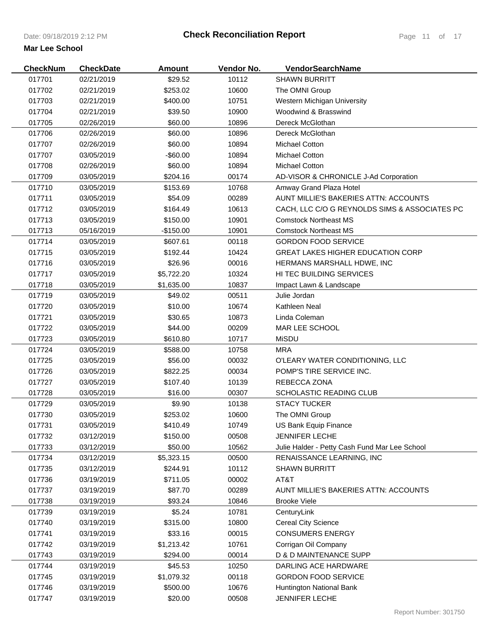| <b>CheckNum</b> | <b>CheckDate</b> | Amount      | Vendor No. | <b>VendorSearchName</b>                       |
|-----------------|------------------|-------------|------------|-----------------------------------------------|
| 017701          | 02/21/2019       | \$29.52     | 10112      | <b>SHAWN BURRITT</b>                          |
| 017702          | 02/21/2019       | \$253.02    | 10600      | The OMNI Group                                |
| 017703          | 02/21/2019       | \$400.00    | 10751      | Western Michigan University                   |
| 017704          | 02/21/2019       | \$39.50     | 10900      | Woodwind & Brasswind                          |
| 017705          | 02/26/2019       | \$60.00     | 10896      | Dereck McGlothan                              |
| 017706          | 02/26/2019       | \$60.00     | 10896      | Dereck McGlothan                              |
| 017707          | 02/26/2019       | \$60.00     | 10894      | <b>Michael Cotton</b>                         |
| 017707          | 03/05/2019       | $-$ \$60.00 | 10894      | <b>Michael Cotton</b>                         |
| 017708          | 02/26/2019       | \$60.00     | 10894      | <b>Michael Cotton</b>                         |
| 017709          | 03/05/2019       | \$204.16    | 00174      | AD-VISOR & CHRONICLE J-Ad Corporation         |
| 017710          | 03/05/2019       | \$153.69    | 10768      | Amway Grand Plaza Hotel                       |
| 017711          | 03/05/2019       | \$54.09     | 00289      | AUNT MILLIE'S BAKERIES ATTN: ACCOUNTS         |
| 017712          | 03/05/2019       | \$164.49    | 10613      | CACH, LLC C/O G REYNOLDS SIMS & ASSOCIATES PC |
| 017713          | 03/05/2019       | \$150.00    | 10901      | <b>Comstock Northeast MS</b>                  |
| 017713          | 05/16/2019       | $-$150.00$  | 10901      | <b>Comstock Northeast MS</b>                  |
| 017714          | 03/05/2019       | \$607.61    | 00118      | <b>GORDON FOOD SERVICE</b>                    |
| 017715          | 03/05/2019       | \$192.44    | 10424      | <b>GREAT LAKES HIGHER EDUCATION CORP</b>      |
| 017716          | 03/05/2019       | \$26.96     | 00016      | HERMANS MARSHALL HDWE, INC                    |
| 017717          | 03/05/2019       | \$5,722.20  | 10324      | <b>HI TEC BUILDING SERVICES</b>               |
| 017718          | 03/05/2019       | \$1,635.00  | 10837      | Impact Lawn & Landscape                       |
| 017719          | 03/05/2019       | \$49.02     | 00511      | Julie Jordan                                  |
| 017720          | 03/05/2019       | \$10.00     | 10674      | Kathleen Neal                                 |
| 017721          | 03/05/2019       | \$30.65     | 10873      | Linda Coleman                                 |
| 017722          | 03/05/2019       | \$44.00     | 00209      | MAR LEE SCHOOL                                |
| 017723          | 03/05/2019       | \$610.80    | 10717      | <b>MiSDU</b>                                  |
| 017724          | 03/05/2019       | \$588.00    | 10758      | MRA                                           |
| 017725          | 03/05/2019       | \$56.00     | 00032      | O'LEARY WATER CONDITIONING, LLC               |
| 017726          | 03/05/2019       | \$822.25    | 00034      | POMP'S TIRE SERVICE INC.                      |
| 017727          | 03/05/2019       | \$107.40    | 10139      | REBECCA ZONA                                  |
| 017728          | 03/05/2019       | \$16.00     | 00307      | SCHOLASTIC READING CLUB                       |
| 017729          | 03/05/2019       | \$9.90      | 10138      | <b>STACY TUCKER</b>                           |
| 017730          | 03/05/2019       | \$253.02    | 10600      | The OMNI Group                                |
| 017731          | 03/05/2019       | \$410.49    | 10749      | US Bank Equip Finance                         |
| 017732          | 03/12/2019       | \$150.00    | 00508      | <b>JENNIFER LECHE</b>                         |
| 017733          | 03/12/2019       | \$50.00     | 10562      | Julie Halder - Petty Cash Fund Mar Lee School |
| 017734          | 03/12/2019       | \$5,323.15  | 00500      | RENAISSANCE LEARNING, INC                     |
| 017735          | 03/12/2019       | \$244.91    | 10112      | <b>SHAWN BURRITT</b>                          |
| 017736          | 03/19/2019       | \$711.05    | 00002      | AT&T                                          |
| 017737          | 03/19/2019       | \$87.70     | 00289      | AUNT MILLIE'S BAKERIES ATTN: ACCOUNTS         |
| 017738          | 03/19/2019       | \$93.24     | 10846      | <b>Brooke Viele</b>                           |
| 017739          | 03/19/2019       | \$5.24      | 10781      | CenturyLink                                   |
| 017740          | 03/19/2019       | \$315.00    | 10800      | <b>Cereal City Science</b>                    |
| 017741          | 03/19/2019       | \$33.16     | 00015      | <b>CONSUMERS ENERGY</b>                       |
| 017742          | 03/19/2019       | \$1,213.42  | 10761      | Corrigan Oil Company                          |
| 017743          | 03/19/2019       | \$294.00    | 00014      | D & D MAINTENANCE SUPP                        |
| 017744          | 03/19/2019       | \$45.53     | 10250      | DARLING ACE HARDWARE                          |
| 017745          | 03/19/2019       | \$1,079.32  | 00118      | <b>GORDON FOOD SERVICE</b>                    |
| 017746          | 03/19/2019       | \$500.00    | 10676      | Huntington National Bank                      |
| 017747          | 03/19/2019       | \$20.00     | 00508      | JENNIFER LECHE                                |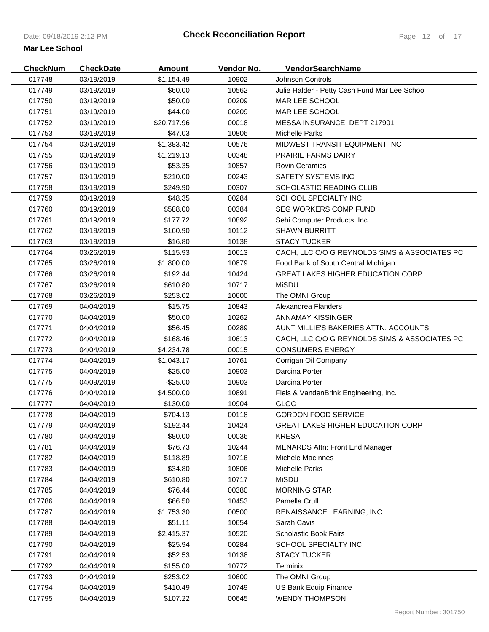| <b>CheckNum</b> | <b>CheckDate</b> | <b>Amount</b> | Vendor No. | VendorSearchName                              |
|-----------------|------------------|---------------|------------|-----------------------------------------------|
| 017748          | 03/19/2019       | \$1,154.49    | 10902      | <b>Johnson Controls</b>                       |
| 017749          | 03/19/2019       | \$60.00       | 10562      | Julie Halder - Petty Cash Fund Mar Lee School |
| 017750          | 03/19/2019       | \$50.00       | 00209      | MAR LEE SCHOOL                                |
| 017751          | 03/19/2019       | \$44.00       | 00209      | MAR LEE SCHOOL                                |
| 017752          | 03/19/2019       | \$20,717.96   | 00018      | MESSA INSURANCE DEPT 217901                   |
| 017753          | 03/19/2019       | \$47.03       | 10806      | <b>Michelle Parks</b>                         |
| 017754          | 03/19/2019       | \$1,383.42    | 00576      | MIDWEST TRANSIT EQUIPMENT INC                 |
| 017755          | 03/19/2019       | \$1,219.13    | 00348      | <b>PRAIRIE FARMS DAIRY</b>                    |
| 017756          | 03/19/2019       | \$53.35       | 10857      | <b>Rovin Ceramics</b>                         |
| 017757          | 03/19/2019       | \$210.00      | 00243      | SAFETY SYSTEMS INC                            |
| 017758          | 03/19/2019       | \$249.90      | 00307      | SCHOLASTIC READING CLUB                       |
| 017759          | 03/19/2019       | \$48.35       | 00284      | SCHOOL SPECIALTY INC                          |
| 017760          | 03/19/2019       | \$588.00      | 00384      | <b>SEG WORKERS COMP FUND</b>                  |
| 017761          | 03/19/2019       | \$177.72      | 10892      | Sehi Computer Products, Inc.                  |
| 017762          | 03/19/2019       | \$160.90      | 10112      | <b>SHAWN BURRITT</b>                          |
| 017763          | 03/19/2019       | \$16.80       | 10138      | <b>STACY TUCKER</b>                           |
| 017764          | 03/26/2019       | \$115.93      | 10613      | CACH, LLC C/O G REYNOLDS SIMS & ASSOCIATES PC |
| 017765          | 03/26/2019       | \$1,800.00    | 10879      | Food Bank of South Central Michigan           |
| 017766          | 03/26/2019       | \$192.44      | 10424      | <b>GREAT LAKES HIGHER EDUCATION CORP</b>      |
| 017767          | 03/26/2019       | \$610.80      | 10717      | <b>MiSDU</b>                                  |
| 017768          | 03/26/2019       | \$253.02      | 10600      | The OMNI Group                                |
| 017769          | 04/04/2019       | \$15.75       | 10843      | Alexandrea Flanders                           |
| 017770          | 04/04/2019       | \$50.00       | 10262      | ANNAMAY KISSINGER                             |
| 017771          | 04/04/2019       | \$56.45       | 00289      | AUNT MILLIE'S BAKERIES ATTN: ACCOUNTS         |
| 017772          | 04/04/2019       | \$168.46      | 10613      | CACH, LLC C/O G REYNOLDS SIMS & ASSOCIATES PC |
| 017773          | 04/04/2019       | \$4,234.78    | 00015      | <b>CONSUMERS ENERGY</b>                       |
| 017774          | 04/04/2019       | \$1,043.17    | 10761      | Corrigan Oil Company                          |
| 017775          | 04/04/2019       | \$25.00       | 10903      | Darcina Porter                                |
| 017775          | 04/09/2019       | $-$25.00$     | 10903      | Darcina Porter                                |
| 017776          | 04/04/2019       | \$4,500.00    | 10891      | Fleis & VandenBrink Engineering, Inc.         |
| 017777          | 04/04/2019       | \$130.00      | 10904      | <b>GLGC</b>                                   |
| 017778          | 04/04/2019       | \$704.13      | 00118      | <b>GORDON FOOD SERVICE</b>                    |
| 017779          | 04/04/2019       | \$192.44      | 10424      | <b>GREAT LAKES HIGHER EDUCATION CORP</b>      |
| 017780          | 04/04/2019       | \$80.00       | 00036      | <b>KRESA</b>                                  |
| 017781          | 04/04/2019       | \$76.73       | 10244      | <b>MENARDS Attn: Front End Manager</b>        |
| 017782          | 04/04/2019       | \$118.89      | 10716      | Michele MacInnes                              |
| 017783          | 04/04/2019       | \$34.80       | 10806      | <b>Michelle Parks</b>                         |
| 017784          | 04/04/2019       | \$610.80      | 10717      | MiSDU                                         |
| 017785          | 04/04/2019       | \$76.44       | 00380      | <b>MORNING STAR</b>                           |
| 017786          | 04/04/2019       | \$66.50       | 10453      | Pamella Crull                                 |
| 017787          | 04/04/2019       | \$1,753.30    | 00500      | RENAISSANCE LEARNING, INC                     |
| 017788          | 04/04/2019       | \$51.11       | 10654      | Sarah Cavis                                   |
| 017789          | 04/04/2019       | \$2,415.37    | 10520      | <b>Scholastic Book Fairs</b>                  |
| 017790          | 04/04/2019       | \$25.94       | 00284      | <b>SCHOOL SPECIALTY INC</b>                   |
| 017791          | 04/04/2019       | \$52.53       | 10138      | <b>STACY TUCKER</b>                           |
| 017792          | 04/04/2019       | \$155.00      | 10772      | Terminix                                      |
| 017793          | 04/04/2019       | \$253.02      | 10600      | The OMNI Group                                |
| 017794          | 04/04/2019       | \$410.49      | 10749      | US Bank Equip Finance                         |
|                 |                  |               |            |                                               |
| 017795          | 04/04/2019       | \$107.22      | 00645      | <b>WENDY THOMPSON</b>                         |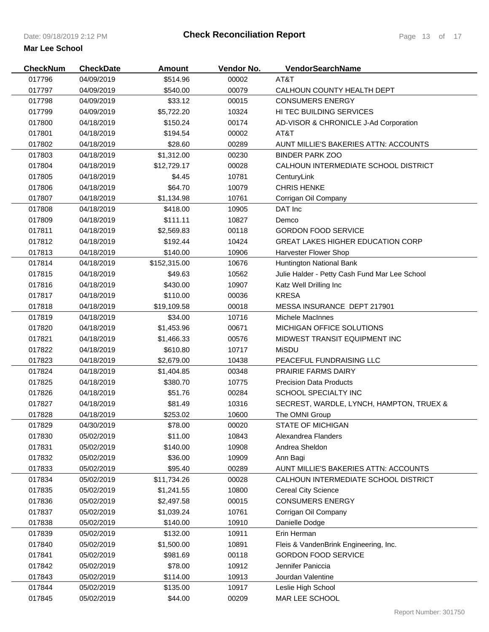| <b>CheckNum</b> | <b>CheckDate</b> | <b>Amount</b> | Vendor No. | VendorSearchName                              |
|-----------------|------------------|---------------|------------|-----------------------------------------------|
| 017796          | 04/09/2019       | \$514.96      | 00002      | AT&T                                          |
| 017797          | 04/09/2019       | \$540.00      | 00079      | CALHOUN COUNTY HEALTH DEPT                    |
| 017798          | 04/09/2019       | \$33.12       | 00015      | <b>CONSUMERS ENERGY</b>                       |
| 017799          | 04/09/2019       | \$5,722.20    | 10324      | HI TEC BUILDING SERVICES                      |
| 017800          | 04/18/2019       | \$150.24      | 00174      | AD-VISOR & CHRONICLE J-Ad Corporation         |
| 017801          | 04/18/2019       | \$194.54      | 00002      | AT&T                                          |
| 017802          | 04/18/2019       | \$28.60       | 00289      | AUNT MILLIE'S BAKERIES ATTN: ACCOUNTS         |
| 017803          | 04/18/2019       | \$1,312.00    | 00230      | <b>BINDER PARK ZOO</b>                        |
| 017804          | 04/18/2019       | \$12,729.17   | 00028      | CALHOUN INTERMEDIATE SCHOOL DISTRICT          |
| 017805          | 04/18/2019       | \$4.45        | 10781      | CenturyLink                                   |
| 017806          | 04/18/2019       | \$64.70       | 10079      | <b>CHRIS HENKE</b>                            |
| 017807          | 04/18/2019       | \$1,134.98    | 10761      | Corrigan Oil Company                          |
| 017808          | 04/18/2019       | \$418.00      | 10905      | DAT Inc                                       |
| 017809          | 04/18/2019       | \$111.11      | 10827      | Demco                                         |
| 017811          | 04/18/2019       | \$2,569.83    | 00118      | <b>GORDON FOOD SERVICE</b>                    |
| 017812          | 04/18/2019       | \$192.44      | 10424      | <b>GREAT LAKES HIGHER EDUCATION CORP</b>      |
| 017813          | 04/18/2019       | \$140.00      | 10906      | Harvester Flower Shop                         |
| 017814          | 04/18/2019       | \$152,315.00  | 10676      | Huntington National Bank                      |
| 017815          | 04/18/2019       | \$49.63       | 10562      | Julie Halder - Petty Cash Fund Mar Lee School |
| 017816          | 04/18/2019       | \$430.00      | 10907      | Katz Well Drilling Inc                        |
| 017817          | 04/18/2019       | \$110.00      | 00036      | <b>KRESA</b>                                  |
| 017818          | 04/18/2019       | \$19,109.58   | 00018      | MESSA INSURANCE DEPT 217901                   |
| 017819          | 04/18/2019       | \$34.00       | 10716      | Michele MacInnes                              |
| 017820          | 04/18/2019       | \$1,453.96    | 00671      | MICHIGAN OFFICE SOLUTIONS                     |
| 017821          | 04/18/2019       | \$1,466.33    | 00576      | MIDWEST TRANSIT EQUIPMENT INC                 |
| 017822          | 04/18/2019       | \$610.80      | 10717      | MiSDU                                         |
| 017823          | 04/18/2019       | \$2,679.00    | 10438      | PEACEFUL FUNDRAISING LLC                      |
| 017824          | 04/18/2019       | \$1,404.85    | 00348      | <b>PRAIRIE FARMS DAIRY</b>                    |
| 017825          | 04/18/2019       | \$380.70      | 10775      | <b>Precision Data Products</b>                |
| 017826          | 04/18/2019       | \$51.76       | 00284      | <b>SCHOOL SPECIALTY INC</b>                   |
| 017827          | 04/18/2019       | \$81.49       | 10316      | SECREST, WARDLE, LYNCH, HAMPTON, TRUEX &      |
| 017828          | 04/18/2019       | \$253.02      | 10600      | The OMNI Group                                |
| 017829          | 04/30/2019       | \$78.00       | 00020      | <b>STATE OF MICHIGAN</b>                      |
| 017830          | 05/02/2019       | \$11.00       | 10843      | Alexandrea Flanders                           |
| 017831          | 05/02/2019       | \$140.00      | 10908      | Andrea Sheldon                                |
| 017832          | 05/02/2019       | \$36.00       | 10909      | Ann Bagi                                      |
| 017833          | 05/02/2019       | \$95.40       | 00289      | AUNT MILLIE'S BAKERIES ATTN: ACCOUNTS         |
| 017834          | 05/02/2019       | \$11,734.26   | 00028      | CALHOUN INTERMEDIATE SCHOOL DISTRICT          |
| 017835          | 05/02/2019       | \$1,241.55    | 10800      | <b>Cereal City Science</b>                    |
| 017836          | 05/02/2019       | \$2,497.58    | 00015      | <b>CONSUMERS ENERGY</b>                       |
| 017837          | 05/02/2019       | \$1,039.24    | 10761      | Corrigan Oil Company                          |
| 017838          | 05/02/2019       | \$140.00      | 10910      | Danielle Dodge                                |
| 017839          | 05/02/2019       | \$132.00      | 10911      | Erin Herman                                   |
| 017840          | 05/02/2019       | \$1,500.00    | 10891      | Fleis & VandenBrink Engineering, Inc.         |
| 017841          | 05/02/2019       | \$981.69      | 00118      | <b>GORDON FOOD SERVICE</b>                    |
| 017842          | 05/02/2019       | \$78.00       | 10912      | Jennifer Paniccia                             |
| 017843          | 05/02/2019       | \$114.00      | 10913      | Jourdan Valentine                             |
| 017844          | 05/02/2019       | \$135.00      | 10917      | Leslie High School                            |
| 017845          | 05/02/2019       | \$44.00       | 00209      | MAR LEE SCHOOL                                |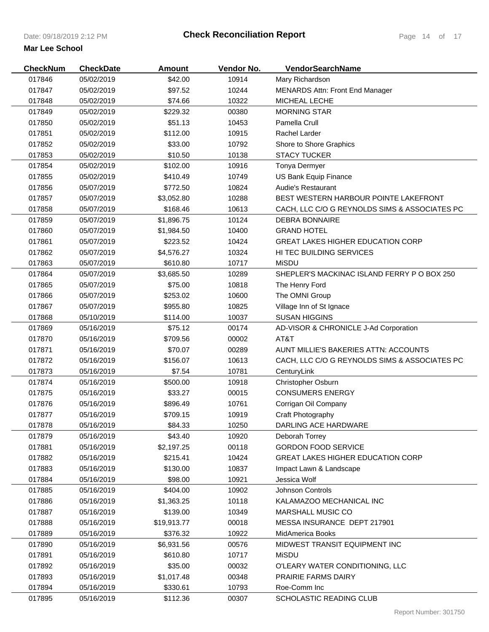| <b>CheckNum</b> | <b>CheckDate</b> | <b>Amount</b> | Vendor No. | VendorSearchName                              |
|-----------------|------------------|---------------|------------|-----------------------------------------------|
| 017846          | 05/02/2019       | \$42.00       | 10914      | Mary Richardson                               |
| 017847          | 05/02/2019       | \$97.52       | 10244      | <b>MENARDS Attn: Front End Manager</b>        |
| 017848          | 05/02/2019       | \$74.66       | 10322      | MICHEAL LECHE                                 |
| 017849          | 05/02/2019       | \$229.32      | 00380      | <b>MORNING STAR</b>                           |
| 017850          | 05/02/2019       | \$51.13       | 10453      | Pamella Crull                                 |
| 017851          | 05/02/2019       | \$112.00      | 10915      | Rachel Larder                                 |
| 017852          | 05/02/2019       | \$33.00       | 10792      | Shore to Shore Graphics                       |
| 017853          | 05/02/2019       | \$10.50       | 10138      | <b>STACY TUCKER</b>                           |
| 017854          | 05/02/2019       | \$102.00      | 10916      | Tonya Dermyer                                 |
| 017855          | 05/02/2019       | \$410.49      | 10749      | US Bank Equip Finance                         |
| 017856          | 05/07/2019       | \$772.50      | 10824      | <b>Audie's Restaurant</b>                     |
| 017857          | 05/07/2019       | \$3,052.80    | 10288      | BEST WESTERN HARBOUR POINTE LAKEFRONT         |
| 017858          | 05/07/2019       | \$168.46      | 10613      | CACH, LLC C/O G REYNOLDS SIMS & ASSOCIATES PC |
| 017859          | 05/07/2019       | \$1,896.75    | 10124      | <b>DEBRA BONNAIRE</b>                         |
| 017860          | 05/07/2019       | \$1,984.50    | 10400      | <b>GRAND HOTEL</b>                            |
| 017861          | 05/07/2019       | \$223.52      | 10424      | <b>GREAT LAKES HIGHER EDUCATION CORP</b>      |
| 017862          | 05/07/2019       | \$4,576.27    | 10324      | <b>HI TEC BUILDING SERVICES</b>               |
| 017863          | 05/07/2019       | \$610.80      | 10717      | <b>MiSDU</b>                                  |
| 017864          | 05/07/2019       | \$3,685.50    | 10289      | SHEPLER'S MACKINAC ISLAND FERRY P O BOX 250   |
| 017865          | 05/07/2019       | \$75.00       | 10818      | The Henry Ford                                |
| 017866          | 05/07/2019       | \$253.02      | 10600      | The OMNI Group                                |
| 017867          | 05/07/2019       | \$955.80      | 10825      | Village Inn of St Ignace                      |
| 017868          | 05/10/2019       | \$114.00      | 10037      | <b>SUSAN HIGGINS</b>                          |
| 017869          | 05/16/2019       | \$75.12       | 00174      | AD-VISOR & CHRONICLE J-Ad Corporation         |
| 017870          | 05/16/2019       | \$709.56      | 00002      | AT&T                                          |
| 017871          | 05/16/2019       | \$70.07       | 00289      | AUNT MILLIE'S BAKERIES ATTN: ACCOUNTS         |
| 017872          | 05/16/2019       | \$156.07      | 10613      | CACH, LLC C/O G REYNOLDS SIMS & ASSOCIATES PC |
| 017873          | 05/16/2019       | \$7.54        | 10781      | CenturyLink                                   |
| 017874          | 05/16/2019       | \$500.00      | 10918      | Christopher Osburn                            |
| 017875          | 05/16/2019       | \$33.27       | 00015      | <b>CONSUMERS ENERGY</b>                       |
| 017876          | 05/16/2019       | \$896.49      | 10761      | Corrigan Oil Company                          |
| 017877          | 05/16/2019       | \$709.15      | 10919      | Craft Photography                             |
| 017878          | 05/16/2019       | \$84.33       | 10250      | DARLING ACE HARDWARE                          |
| 017879          | 05/16/2019       | \$43.40       | 10920      | Deborah Torrey                                |
| 017881          | 05/16/2019       | \$2,197.25    | 00118      | <b>GORDON FOOD SERVICE</b>                    |
| 017882          | 05/16/2019       | \$215.41      | 10424      | <b>GREAT LAKES HIGHER EDUCATION CORP</b>      |
| 017883          | 05/16/2019       | \$130.00      | 10837      | Impact Lawn & Landscape                       |
| 017884          | 05/16/2019       | \$98.00       | 10921      | Jessica Wolf                                  |
| 017885          | 05/16/2019       | \$404.00      | 10902      | <b>Johnson Controls</b>                       |
| 017886          | 05/16/2019       | \$1,363.25    | 10118      | KALAMAZOO MECHANICAL INC                      |
| 017887          | 05/16/2019       | \$139.00      | 10349      | <b>MARSHALL MUSIC CO</b>                      |
| 017888          | 05/16/2019       | \$19,913.77   | 00018      | MESSA INSURANCE DEPT 217901                   |
| 017889          | 05/16/2019       | \$376.32      | 10922      | MidAmerica Books                              |
| 017890          | 05/16/2019       | \$6,931.56    | 00576      | MIDWEST TRANSIT EQUIPMENT INC                 |
| 017891          | 05/16/2019       | \$610.80      | 10717      | <b>MiSDU</b>                                  |
| 017892          | 05/16/2019       | \$35.00       | 00032      | O'LEARY WATER CONDITIONING, LLC               |
| 017893          | 05/16/2019       | \$1,017.48    | 00348      | <b>PRAIRIE FARMS DAIRY</b>                    |
| 017894          | 05/16/2019       | \$330.61      | 10793      | Roe-Comm Inc                                  |
| 017895          | 05/16/2019       | \$112.36      | 00307      | SCHOLASTIC READING CLUB                       |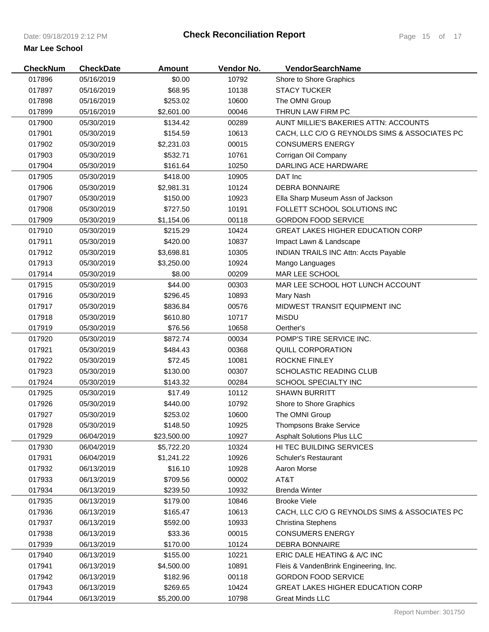| 10792<br>017896<br>05/16/2019<br>\$0.00<br>Shore to Shore Graphics<br>017897<br>05/16/2019<br>\$68.95<br>10138<br><b>STACY TUCKER</b><br>017898<br>05/16/2019<br>\$253.02<br>10600<br>The OMNI Group<br>017899<br>00046<br>THRUN LAW FIRM PC<br>05/16/2019<br>\$2,601.00<br>017900<br>00289<br>AUNT MILLIE'S BAKERIES ATTN: ACCOUNTS<br>05/30/2019<br>\$134.42<br>017901<br>10613<br>CACH, LLC C/O G REYNOLDS SIMS & ASSOCIATES PC<br>05/30/2019<br>\$154.59<br>017902<br>00015<br><b>CONSUMERS ENERGY</b><br>05/30/2019<br>\$2,231.03<br>017903<br>05/30/2019<br>\$532.71<br>10761<br>Corrigan Oil Company<br>017904<br>10250<br><b>DARLING ACE HARDWARE</b><br>05/30/2019<br>\$161.64<br>017905<br>10905<br>05/30/2019<br>\$418.00<br>DAT Inc<br>017906<br>10124<br><b>DEBRA BONNAIRE</b><br>05/30/2019<br>\$2,981.31<br>\$150.00<br>017907<br>05/30/2019<br>10923<br>Ella Sharp Museum Assn of Jackson<br>017908<br>\$727.50<br>10191<br>FOLLETT SCHOOL SOLUTIONS INC<br>05/30/2019<br>017909<br>05/30/2019<br>00118<br><b>GORDON FOOD SERVICE</b><br>\$1,154.06<br>017910<br>\$215.29<br>10424<br><b>GREAT LAKES HIGHER EDUCATION CORP</b><br>05/30/2019<br>017911<br>05/30/2019<br>\$420.00<br>10837<br>Impact Lawn & Landscape<br>017912<br>10305<br><b>INDIAN TRAILS INC Attn: Accts Payable</b><br>05/30/2019<br>\$3,698.81<br>017913<br>05/30/2019<br>10924<br>\$3,250.00<br>Mango Languages<br>017914<br>05/30/2019<br>\$8.00<br>00209<br><b>MAR LEE SCHOOL</b><br>\$44.00<br>00303<br>017915<br>05/30/2019<br>MAR LEE SCHOOL HOT LUNCH ACCOUNT<br>\$296.45<br>017916<br>05/30/2019<br>10893<br>Mary Nash<br>017917<br>MIDWEST TRANSIT EQUIPMENT INC<br>05/30/2019<br>\$836.84<br>00576<br>\$610.80<br><b>MiSDU</b><br>017918<br>05/30/2019<br>10717<br>017919<br>05/30/2019<br>\$76.56<br>10658<br>Oerther's<br>POMP'S TIRE SERVICE INC.<br>017920<br>05/30/2019<br>\$872.74<br>00034<br>017921<br>QUILL CORPORATION<br>05/30/2019<br>\$484.43<br>00368<br>ROCKNE FINLEY<br>017922<br>05/30/2019<br>\$72.45<br>10081<br>00307<br><b>SCHOLASTIC READING CLUB</b><br>017923<br>05/30/2019<br>\$130.00<br>017924<br>00284<br>SCHOOL SPECIALTY INC<br>05/30/2019<br>\$143.32<br>017925<br>10112<br><b>SHAWN BURRITT</b><br>05/30/2019<br>\$17.49<br>017926<br>\$440.00<br>10792<br>Shore to Shore Graphics<br>05/30/2019<br>05/30/2019<br>\$253.02<br>017927<br>10600<br>The OMNI Group<br>017928<br>05/30/2019<br>\$148.50<br>10925<br><b>Thompsons Brake Service</b><br>017929<br>06/04/2019<br>10927<br><b>Asphalt Solutions Plus LLC</b><br>\$23,500.00<br>HI TEC BUILDING SERVICES<br>017930<br>06/04/2019<br>\$5,722.20<br>10324<br>017931<br>10926<br>06/04/2019<br>\$1,241.22<br><b>Schuler's Restaurant</b><br>017932<br>10928<br>06/13/2019<br>\$16.10<br>Aaron Morse<br>017933<br>\$709.56<br>00002<br>AT&T<br>06/13/2019<br>017934<br>06/13/2019<br>\$239.50<br>10932<br><b>Brenda Winter</b><br>017935<br>10846<br>06/13/2019<br>\$179.00<br><b>Brooke Viele</b><br>017936<br>06/13/2019<br>\$165.47<br>10613<br>CACH, LLC C/O G REYNOLDS SIMS & ASSOCIATES PC<br>017937<br>10933<br>06/13/2019<br>\$592.00<br><b>Christina Stephens</b><br>017938<br>06/13/2019<br>\$33.36<br>00015<br><b>CONSUMERS ENERGY</b><br>017939<br>\$170.00<br>10124<br><b>DEBRA BONNAIRE</b><br>06/13/2019<br>06/13/2019<br>10221<br>ERIC DALE HEATING & A/C INC<br>017940<br>\$155.00<br>017941<br>10891<br>06/13/2019<br>\$4,500.00<br>Fleis & VandenBrink Engineering, Inc.<br>00118<br><b>GORDON FOOD SERVICE</b><br>017942<br>06/13/2019<br>\$182.96<br>017943<br>\$269.65<br>10424<br><b>GREAT LAKES HIGHER EDUCATION CORP</b><br>06/13/2019 | <b>CheckNum</b> | <b>CheckDate</b> | <b>Amount</b> | Vendor No. | VendorSearchName       |
|---------------------------------------------------------------------------------------------------------------------------------------------------------------------------------------------------------------------------------------------------------------------------------------------------------------------------------------------------------------------------------------------------------------------------------------------------------------------------------------------------------------------------------------------------------------------------------------------------------------------------------------------------------------------------------------------------------------------------------------------------------------------------------------------------------------------------------------------------------------------------------------------------------------------------------------------------------------------------------------------------------------------------------------------------------------------------------------------------------------------------------------------------------------------------------------------------------------------------------------------------------------------------------------------------------------------------------------------------------------------------------------------------------------------------------------------------------------------------------------------------------------------------------------------------------------------------------------------------------------------------------------------------------------------------------------------------------------------------------------------------------------------------------------------------------------------------------------------------------------------------------------------------------------------------------------------------------------------------------------------------------------------------------------------------------------------------------------------------------------------------------------------------------------------------------------------------------------------------------------------------------------------------------------------------------------------------------------------------------------------------------------------------------------------------------------------------------------------------------------------------------------------------------------------------------------------------------------------------------------------------------------------------------------------------------------------------------------------------------------------------------------------------------------------------------------------------------------------------------------------------------------------------------------------------------------------------------------------------------------------------------------------------------------------------------------------------------------------------------------------------------------------------------------------------------------------------------------------------------------------------------------------------------------------------------------------------------------------------------------------------------------------------------------------------------------------------------------------------------------------------------------------------------------------------------------------------------------------------------------------------------------------------|-----------------|------------------|---------------|------------|------------------------|
|                                                                                                                                                                                                                                                                                                                                                                                                                                                                                                                                                                                                                                                                                                                                                                                                                                                                                                                                                                                                                                                                                                                                                                                                                                                                                                                                                                                                                                                                                                                                                                                                                                                                                                                                                                                                                                                                                                                                                                                                                                                                                                                                                                                                                                                                                                                                                                                                                                                                                                                                                                                                                                                                                                                                                                                                                                                                                                                                                                                                                                                                                                                                                                                                                                                                                                                                                                                                                                                                                                                                                                                                                                                   |                 |                  |               |            |                        |
|                                                                                                                                                                                                                                                                                                                                                                                                                                                                                                                                                                                                                                                                                                                                                                                                                                                                                                                                                                                                                                                                                                                                                                                                                                                                                                                                                                                                                                                                                                                                                                                                                                                                                                                                                                                                                                                                                                                                                                                                                                                                                                                                                                                                                                                                                                                                                                                                                                                                                                                                                                                                                                                                                                                                                                                                                                                                                                                                                                                                                                                                                                                                                                                                                                                                                                                                                                                                                                                                                                                                                                                                                                                   |                 |                  |               |            |                        |
|                                                                                                                                                                                                                                                                                                                                                                                                                                                                                                                                                                                                                                                                                                                                                                                                                                                                                                                                                                                                                                                                                                                                                                                                                                                                                                                                                                                                                                                                                                                                                                                                                                                                                                                                                                                                                                                                                                                                                                                                                                                                                                                                                                                                                                                                                                                                                                                                                                                                                                                                                                                                                                                                                                                                                                                                                                                                                                                                                                                                                                                                                                                                                                                                                                                                                                                                                                                                                                                                                                                                                                                                                                                   |                 |                  |               |            |                        |
|                                                                                                                                                                                                                                                                                                                                                                                                                                                                                                                                                                                                                                                                                                                                                                                                                                                                                                                                                                                                                                                                                                                                                                                                                                                                                                                                                                                                                                                                                                                                                                                                                                                                                                                                                                                                                                                                                                                                                                                                                                                                                                                                                                                                                                                                                                                                                                                                                                                                                                                                                                                                                                                                                                                                                                                                                                                                                                                                                                                                                                                                                                                                                                                                                                                                                                                                                                                                                                                                                                                                                                                                                                                   |                 |                  |               |            |                        |
|                                                                                                                                                                                                                                                                                                                                                                                                                                                                                                                                                                                                                                                                                                                                                                                                                                                                                                                                                                                                                                                                                                                                                                                                                                                                                                                                                                                                                                                                                                                                                                                                                                                                                                                                                                                                                                                                                                                                                                                                                                                                                                                                                                                                                                                                                                                                                                                                                                                                                                                                                                                                                                                                                                                                                                                                                                                                                                                                                                                                                                                                                                                                                                                                                                                                                                                                                                                                                                                                                                                                                                                                                                                   |                 |                  |               |            |                        |
|                                                                                                                                                                                                                                                                                                                                                                                                                                                                                                                                                                                                                                                                                                                                                                                                                                                                                                                                                                                                                                                                                                                                                                                                                                                                                                                                                                                                                                                                                                                                                                                                                                                                                                                                                                                                                                                                                                                                                                                                                                                                                                                                                                                                                                                                                                                                                                                                                                                                                                                                                                                                                                                                                                                                                                                                                                                                                                                                                                                                                                                                                                                                                                                                                                                                                                                                                                                                                                                                                                                                                                                                                                                   |                 |                  |               |            |                        |
|                                                                                                                                                                                                                                                                                                                                                                                                                                                                                                                                                                                                                                                                                                                                                                                                                                                                                                                                                                                                                                                                                                                                                                                                                                                                                                                                                                                                                                                                                                                                                                                                                                                                                                                                                                                                                                                                                                                                                                                                                                                                                                                                                                                                                                                                                                                                                                                                                                                                                                                                                                                                                                                                                                                                                                                                                                                                                                                                                                                                                                                                                                                                                                                                                                                                                                                                                                                                                                                                                                                                                                                                                                                   |                 |                  |               |            |                        |
|                                                                                                                                                                                                                                                                                                                                                                                                                                                                                                                                                                                                                                                                                                                                                                                                                                                                                                                                                                                                                                                                                                                                                                                                                                                                                                                                                                                                                                                                                                                                                                                                                                                                                                                                                                                                                                                                                                                                                                                                                                                                                                                                                                                                                                                                                                                                                                                                                                                                                                                                                                                                                                                                                                                                                                                                                                                                                                                                                                                                                                                                                                                                                                                                                                                                                                                                                                                                                                                                                                                                                                                                                                                   |                 |                  |               |            |                        |
|                                                                                                                                                                                                                                                                                                                                                                                                                                                                                                                                                                                                                                                                                                                                                                                                                                                                                                                                                                                                                                                                                                                                                                                                                                                                                                                                                                                                                                                                                                                                                                                                                                                                                                                                                                                                                                                                                                                                                                                                                                                                                                                                                                                                                                                                                                                                                                                                                                                                                                                                                                                                                                                                                                                                                                                                                                                                                                                                                                                                                                                                                                                                                                                                                                                                                                                                                                                                                                                                                                                                                                                                                                                   |                 |                  |               |            |                        |
|                                                                                                                                                                                                                                                                                                                                                                                                                                                                                                                                                                                                                                                                                                                                                                                                                                                                                                                                                                                                                                                                                                                                                                                                                                                                                                                                                                                                                                                                                                                                                                                                                                                                                                                                                                                                                                                                                                                                                                                                                                                                                                                                                                                                                                                                                                                                                                                                                                                                                                                                                                                                                                                                                                                                                                                                                                                                                                                                                                                                                                                                                                                                                                                                                                                                                                                                                                                                                                                                                                                                                                                                                                                   |                 |                  |               |            |                        |
|                                                                                                                                                                                                                                                                                                                                                                                                                                                                                                                                                                                                                                                                                                                                                                                                                                                                                                                                                                                                                                                                                                                                                                                                                                                                                                                                                                                                                                                                                                                                                                                                                                                                                                                                                                                                                                                                                                                                                                                                                                                                                                                                                                                                                                                                                                                                                                                                                                                                                                                                                                                                                                                                                                                                                                                                                                                                                                                                                                                                                                                                                                                                                                                                                                                                                                                                                                                                                                                                                                                                                                                                                                                   |                 |                  |               |            |                        |
|                                                                                                                                                                                                                                                                                                                                                                                                                                                                                                                                                                                                                                                                                                                                                                                                                                                                                                                                                                                                                                                                                                                                                                                                                                                                                                                                                                                                                                                                                                                                                                                                                                                                                                                                                                                                                                                                                                                                                                                                                                                                                                                                                                                                                                                                                                                                                                                                                                                                                                                                                                                                                                                                                                                                                                                                                                                                                                                                                                                                                                                                                                                                                                                                                                                                                                                                                                                                                                                                                                                                                                                                                                                   |                 |                  |               |            |                        |
|                                                                                                                                                                                                                                                                                                                                                                                                                                                                                                                                                                                                                                                                                                                                                                                                                                                                                                                                                                                                                                                                                                                                                                                                                                                                                                                                                                                                                                                                                                                                                                                                                                                                                                                                                                                                                                                                                                                                                                                                                                                                                                                                                                                                                                                                                                                                                                                                                                                                                                                                                                                                                                                                                                                                                                                                                                                                                                                                                                                                                                                                                                                                                                                                                                                                                                                                                                                                                                                                                                                                                                                                                                                   |                 |                  |               |            |                        |
|                                                                                                                                                                                                                                                                                                                                                                                                                                                                                                                                                                                                                                                                                                                                                                                                                                                                                                                                                                                                                                                                                                                                                                                                                                                                                                                                                                                                                                                                                                                                                                                                                                                                                                                                                                                                                                                                                                                                                                                                                                                                                                                                                                                                                                                                                                                                                                                                                                                                                                                                                                                                                                                                                                                                                                                                                                                                                                                                                                                                                                                                                                                                                                                                                                                                                                                                                                                                                                                                                                                                                                                                                                                   |                 |                  |               |            |                        |
|                                                                                                                                                                                                                                                                                                                                                                                                                                                                                                                                                                                                                                                                                                                                                                                                                                                                                                                                                                                                                                                                                                                                                                                                                                                                                                                                                                                                                                                                                                                                                                                                                                                                                                                                                                                                                                                                                                                                                                                                                                                                                                                                                                                                                                                                                                                                                                                                                                                                                                                                                                                                                                                                                                                                                                                                                                                                                                                                                                                                                                                                                                                                                                                                                                                                                                                                                                                                                                                                                                                                                                                                                                                   |                 |                  |               |            |                        |
|                                                                                                                                                                                                                                                                                                                                                                                                                                                                                                                                                                                                                                                                                                                                                                                                                                                                                                                                                                                                                                                                                                                                                                                                                                                                                                                                                                                                                                                                                                                                                                                                                                                                                                                                                                                                                                                                                                                                                                                                                                                                                                                                                                                                                                                                                                                                                                                                                                                                                                                                                                                                                                                                                                                                                                                                                                                                                                                                                                                                                                                                                                                                                                                                                                                                                                                                                                                                                                                                                                                                                                                                                                                   |                 |                  |               |            |                        |
|                                                                                                                                                                                                                                                                                                                                                                                                                                                                                                                                                                                                                                                                                                                                                                                                                                                                                                                                                                                                                                                                                                                                                                                                                                                                                                                                                                                                                                                                                                                                                                                                                                                                                                                                                                                                                                                                                                                                                                                                                                                                                                                                                                                                                                                                                                                                                                                                                                                                                                                                                                                                                                                                                                                                                                                                                                                                                                                                                                                                                                                                                                                                                                                                                                                                                                                                                                                                                                                                                                                                                                                                                                                   |                 |                  |               |            |                        |
|                                                                                                                                                                                                                                                                                                                                                                                                                                                                                                                                                                                                                                                                                                                                                                                                                                                                                                                                                                                                                                                                                                                                                                                                                                                                                                                                                                                                                                                                                                                                                                                                                                                                                                                                                                                                                                                                                                                                                                                                                                                                                                                                                                                                                                                                                                                                                                                                                                                                                                                                                                                                                                                                                                                                                                                                                                                                                                                                                                                                                                                                                                                                                                                                                                                                                                                                                                                                                                                                                                                                                                                                                                                   |                 |                  |               |            |                        |
|                                                                                                                                                                                                                                                                                                                                                                                                                                                                                                                                                                                                                                                                                                                                                                                                                                                                                                                                                                                                                                                                                                                                                                                                                                                                                                                                                                                                                                                                                                                                                                                                                                                                                                                                                                                                                                                                                                                                                                                                                                                                                                                                                                                                                                                                                                                                                                                                                                                                                                                                                                                                                                                                                                                                                                                                                                                                                                                                                                                                                                                                                                                                                                                                                                                                                                                                                                                                                                                                                                                                                                                                                                                   |                 |                  |               |            |                        |
|                                                                                                                                                                                                                                                                                                                                                                                                                                                                                                                                                                                                                                                                                                                                                                                                                                                                                                                                                                                                                                                                                                                                                                                                                                                                                                                                                                                                                                                                                                                                                                                                                                                                                                                                                                                                                                                                                                                                                                                                                                                                                                                                                                                                                                                                                                                                                                                                                                                                                                                                                                                                                                                                                                                                                                                                                                                                                                                                                                                                                                                                                                                                                                                                                                                                                                                                                                                                                                                                                                                                                                                                                                                   |                 |                  |               |            |                        |
|                                                                                                                                                                                                                                                                                                                                                                                                                                                                                                                                                                                                                                                                                                                                                                                                                                                                                                                                                                                                                                                                                                                                                                                                                                                                                                                                                                                                                                                                                                                                                                                                                                                                                                                                                                                                                                                                                                                                                                                                                                                                                                                                                                                                                                                                                                                                                                                                                                                                                                                                                                                                                                                                                                                                                                                                                                                                                                                                                                                                                                                                                                                                                                                                                                                                                                                                                                                                                                                                                                                                                                                                                                                   |                 |                  |               |            |                        |
|                                                                                                                                                                                                                                                                                                                                                                                                                                                                                                                                                                                                                                                                                                                                                                                                                                                                                                                                                                                                                                                                                                                                                                                                                                                                                                                                                                                                                                                                                                                                                                                                                                                                                                                                                                                                                                                                                                                                                                                                                                                                                                                                                                                                                                                                                                                                                                                                                                                                                                                                                                                                                                                                                                                                                                                                                                                                                                                                                                                                                                                                                                                                                                                                                                                                                                                                                                                                                                                                                                                                                                                                                                                   |                 |                  |               |            |                        |
|                                                                                                                                                                                                                                                                                                                                                                                                                                                                                                                                                                                                                                                                                                                                                                                                                                                                                                                                                                                                                                                                                                                                                                                                                                                                                                                                                                                                                                                                                                                                                                                                                                                                                                                                                                                                                                                                                                                                                                                                                                                                                                                                                                                                                                                                                                                                                                                                                                                                                                                                                                                                                                                                                                                                                                                                                                                                                                                                                                                                                                                                                                                                                                                                                                                                                                                                                                                                                                                                                                                                                                                                                                                   |                 |                  |               |            |                        |
|                                                                                                                                                                                                                                                                                                                                                                                                                                                                                                                                                                                                                                                                                                                                                                                                                                                                                                                                                                                                                                                                                                                                                                                                                                                                                                                                                                                                                                                                                                                                                                                                                                                                                                                                                                                                                                                                                                                                                                                                                                                                                                                                                                                                                                                                                                                                                                                                                                                                                                                                                                                                                                                                                                                                                                                                                                                                                                                                                                                                                                                                                                                                                                                                                                                                                                                                                                                                                                                                                                                                                                                                                                                   |                 |                  |               |            |                        |
|                                                                                                                                                                                                                                                                                                                                                                                                                                                                                                                                                                                                                                                                                                                                                                                                                                                                                                                                                                                                                                                                                                                                                                                                                                                                                                                                                                                                                                                                                                                                                                                                                                                                                                                                                                                                                                                                                                                                                                                                                                                                                                                                                                                                                                                                                                                                                                                                                                                                                                                                                                                                                                                                                                                                                                                                                                                                                                                                                                                                                                                                                                                                                                                                                                                                                                                                                                                                                                                                                                                                                                                                                                                   |                 |                  |               |            |                        |
|                                                                                                                                                                                                                                                                                                                                                                                                                                                                                                                                                                                                                                                                                                                                                                                                                                                                                                                                                                                                                                                                                                                                                                                                                                                                                                                                                                                                                                                                                                                                                                                                                                                                                                                                                                                                                                                                                                                                                                                                                                                                                                                                                                                                                                                                                                                                                                                                                                                                                                                                                                                                                                                                                                                                                                                                                                                                                                                                                                                                                                                                                                                                                                                                                                                                                                                                                                                                                                                                                                                                                                                                                                                   |                 |                  |               |            |                        |
|                                                                                                                                                                                                                                                                                                                                                                                                                                                                                                                                                                                                                                                                                                                                                                                                                                                                                                                                                                                                                                                                                                                                                                                                                                                                                                                                                                                                                                                                                                                                                                                                                                                                                                                                                                                                                                                                                                                                                                                                                                                                                                                                                                                                                                                                                                                                                                                                                                                                                                                                                                                                                                                                                                                                                                                                                                                                                                                                                                                                                                                                                                                                                                                                                                                                                                                                                                                                                                                                                                                                                                                                                                                   |                 |                  |               |            |                        |
|                                                                                                                                                                                                                                                                                                                                                                                                                                                                                                                                                                                                                                                                                                                                                                                                                                                                                                                                                                                                                                                                                                                                                                                                                                                                                                                                                                                                                                                                                                                                                                                                                                                                                                                                                                                                                                                                                                                                                                                                                                                                                                                                                                                                                                                                                                                                                                                                                                                                                                                                                                                                                                                                                                                                                                                                                                                                                                                                                                                                                                                                                                                                                                                                                                                                                                                                                                                                                                                                                                                                                                                                                                                   |                 |                  |               |            |                        |
|                                                                                                                                                                                                                                                                                                                                                                                                                                                                                                                                                                                                                                                                                                                                                                                                                                                                                                                                                                                                                                                                                                                                                                                                                                                                                                                                                                                                                                                                                                                                                                                                                                                                                                                                                                                                                                                                                                                                                                                                                                                                                                                                                                                                                                                                                                                                                                                                                                                                                                                                                                                                                                                                                                                                                                                                                                                                                                                                                                                                                                                                                                                                                                                                                                                                                                                                                                                                                                                                                                                                                                                                                                                   |                 |                  |               |            |                        |
|                                                                                                                                                                                                                                                                                                                                                                                                                                                                                                                                                                                                                                                                                                                                                                                                                                                                                                                                                                                                                                                                                                                                                                                                                                                                                                                                                                                                                                                                                                                                                                                                                                                                                                                                                                                                                                                                                                                                                                                                                                                                                                                                                                                                                                                                                                                                                                                                                                                                                                                                                                                                                                                                                                                                                                                                                                                                                                                                                                                                                                                                                                                                                                                                                                                                                                                                                                                                                                                                                                                                                                                                                                                   |                 |                  |               |            |                        |
|                                                                                                                                                                                                                                                                                                                                                                                                                                                                                                                                                                                                                                                                                                                                                                                                                                                                                                                                                                                                                                                                                                                                                                                                                                                                                                                                                                                                                                                                                                                                                                                                                                                                                                                                                                                                                                                                                                                                                                                                                                                                                                                                                                                                                                                                                                                                                                                                                                                                                                                                                                                                                                                                                                                                                                                                                                                                                                                                                                                                                                                                                                                                                                                                                                                                                                                                                                                                                                                                                                                                                                                                                                                   |                 |                  |               |            |                        |
|                                                                                                                                                                                                                                                                                                                                                                                                                                                                                                                                                                                                                                                                                                                                                                                                                                                                                                                                                                                                                                                                                                                                                                                                                                                                                                                                                                                                                                                                                                                                                                                                                                                                                                                                                                                                                                                                                                                                                                                                                                                                                                                                                                                                                                                                                                                                                                                                                                                                                                                                                                                                                                                                                                                                                                                                                                                                                                                                                                                                                                                                                                                                                                                                                                                                                                                                                                                                                                                                                                                                                                                                                                                   |                 |                  |               |            |                        |
|                                                                                                                                                                                                                                                                                                                                                                                                                                                                                                                                                                                                                                                                                                                                                                                                                                                                                                                                                                                                                                                                                                                                                                                                                                                                                                                                                                                                                                                                                                                                                                                                                                                                                                                                                                                                                                                                                                                                                                                                                                                                                                                                                                                                                                                                                                                                                                                                                                                                                                                                                                                                                                                                                                                                                                                                                                                                                                                                                                                                                                                                                                                                                                                                                                                                                                                                                                                                                                                                                                                                                                                                                                                   |                 |                  |               |            |                        |
|                                                                                                                                                                                                                                                                                                                                                                                                                                                                                                                                                                                                                                                                                                                                                                                                                                                                                                                                                                                                                                                                                                                                                                                                                                                                                                                                                                                                                                                                                                                                                                                                                                                                                                                                                                                                                                                                                                                                                                                                                                                                                                                                                                                                                                                                                                                                                                                                                                                                                                                                                                                                                                                                                                                                                                                                                                                                                                                                                                                                                                                                                                                                                                                                                                                                                                                                                                                                                                                                                                                                                                                                                                                   |                 |                  |               |            |                        |
|                                                                                                                                                                                                                                                                                                                                                                                                                                                                                                                                                                                                                                                                                                                                                                                                                                                                                                                                                                                                                                                                                                                                                                                                                                                                                                                                                                                                                                                                                                                                                                                                                                                                                                                                                                                                                                                                                                                                                                                                                                                                                                                                                                                                                                                                                                                                                                                                                                                                                                                                                                                                                                                                                                                                                                                                                                                                                                                                                                                                                                                                                                                                                                                                                                                                                                                                                                                                                                                                                                                                                                                                                                                   |                 |                  |               |            |                        |
|                                                                                                                                                                                                                                                                                                                                                                                                                                                                                                                                                                                                                                                                                                                                                                                                                                                                                                                                                                                                                                                                                                                                                                                                                                                                                                                                                                                                                                                                                                                                                                                                                                                                                                                                                                                                                                                                                                                                                                                                                                                                                                                                                                                                                                                                                                                                                                                                                                                                                                                                                                                                                                                                                                                                                                                                                                                                                                                                                                                                                                                                                                                                                                                                                                                                                                                                                                                                                                                                                                                                                                                                                                                   |                 |                  |               |            |                        |
|                                                                                                                                                                                                                                                                                                                                                                                                                                                                                                                                                                                                                                                                                                                                                                                                                                                                                                                                                                                                                                                                                                                                                                                                                                                                                                                                                                                                                                                                                                                                                                                                                                                                                                                                                                                                                                                                                                                                                                                                                                                                                                                                                                                                                                                                                                                                                                                                                                                                                                                                                                                                                                                                                                                                                                                                                                                                                                                                                                                                                                                                                                                                                                                                                                                                                                                                                                                                                                                                                                                                                                                                                                                   |                 |                  |               |            |                        |
|                                                                                                                                                                                                                                                                                                                                                                                                                                                                                                                                                                                                                                                                                                                                                                                                                                                                                                                                                                                                                                                                                                                                                                                                                                                                                                                                                                                                                                                                                                                                                                                                                                                                                                                                                                                                                                                                                                                                                                                                                                                                                                                                                                                                                                                                                                                                                                                                                                                                                                                                                                                                                                                                                                                                                                                                                                                                                                                                                                                                                                                                                                                                                                                                                                                                                                                                                                                                                                                                                                                                                                                                                                                   |                 |                  |               |            |                        |
|                                                                                                                                                                                                                                                                                                                                                                                                                                                                                                                                                                                                                                                                                                                                                                                                                                                                                                                                                                                                                                                                                                                                                                                                                                                                                                                                                                                                                                                                                                                                                                                                                                                                                                                                                                                                                                                                                                                                                                                                                                                                                                                                                                                                                                                                                                                                                                                                                                                                                                                                                                                                                                                                                                                                                                                                                                                                                                                                                                                                                                                                                                                                                                                                                                                                                                                                                                                                                                                                                                                                                                                                                                                   |                 |                  |               |            |                        |
|                                                                                                                                                                                                                                                                                                                                                                                                                                                                                                                                                                                                                                                                                                                                                                                                                                                                                                                                                                                                                                                                                                                                                                                                                                                                                                                                                                                                                                                                                                                                                                                                                                                                                                                                                                                                                                                                                                                                                                                                                                                                                                                                                                                                                                                                                                                                                                                                                                                                                                                                                                                                                                                                                                                                                                                                                                                                                                                                                                                                                                                                                                                                                                                                                                                                                                                                                                                                                                                                                                                                                                                                                                                   |                 |                  |               |            |                        |
|                                                                                                                                                                                                                                                                                                                                                                                                                                                                                                                                                                                                                                                                                                                                                                                                                                                                                                                                                                                                                                                                                                                                                                                                                                                                                                                                                                                                                                                                                                                                                                                                                                                                                                                                                                                                                                                                                                                                                                                                                                                                                                                                                                                                                                                                                                                                                                                                                                                                                                                                                                                                                                                                                                                                                                                                                                                                                                                                                                                                                                                                                                                                                                                                                                                                                                                                                                                                                                                                                                                                                                                                                                                   |                 |                  |               |            |                        |
|                                                                                                                                                                                                                                                                                                                                                                                                                                                                                                                                                                                                                                                                                                                                                                                                                                                                                                                                                                                                                                                                                                                                                                                                                                                                                                                                                                                                                                                                                                                                                                                                                                                                                                                                                                                                                                                                                                                                                                                                                                                                                                                                                                                                                                                                                                                                                                                                                                                                                                                                                                                                                                                                                                                                                                                                                                                                                                                                                                                                                                                                                                                                                                                                                                                                                                                                                                                                                                                                                                                                                                                                                                                   |                 |                  |               |            |                        |
|                                                                                                                                                                                                                                                                                                                                                                                                                                                                                                                                                                                                                                                                                                                                                                                                                                                                                                                                                                                                                                                                                                                                                                                                                                                                                                                                                                                                                                                                                                                                                                                                                                                                                                                                                                                                                                                                                                                                                                                                                                                                                                                                                                                                                                                                                                                                                                                                                                                                                                                                                                                                                                                                                                                                                                                                                                                                                                                                                                                                                                                                                                                                                                                                                                                                                                                                                                                                                                                                                                                                                                                                                                                   |                 |                  |               |            |                        |
|                                                                                                                                                                                                                                                                                                                                                                                                                                                                                                                                                                                                                                                                                                                                                                                                                                                                                                                                                                                                                                                                                                                                                                                                                                                                                                                                                                                                                                                                                                                                                                                                                                                                                                                                                                                                                                                                                                                                                                                                                                                                                                                                                                                                                                                                                                                                                                                                                                                                                                                                                                                                                                                                                                                                                                                                                                                                                                                                                                                                                                                                                                                                                                                                                                                                                                                                                                                                                                                                                                                                                                                                                                                   |                 |                  |               |            |                        |
|                                                                                                                                                                                                                                                                                                                                                                                                                                                                                                                                                                                                                                                                                                                                                                                                                                                                                                                                                                                                                                                                                                                                                                                                                                                                                                                                                                                                                                                                                                                                                                                                                                                                                                                                                                                                                                                                                                                                                                                                                                                                                                                                                                                                                                                                                                                                                                                                                                                                                                                                                                                                                                                                                                                                                                                                                                                                                                                                                                                                                                                                                                                                                                                                                                                                                                                                                                                                                                                                                                                                                                                                                                                   |                 |                  |               |            |                        |
|                                                                                                                                                                                                                                                                                                                                                                                                                                                                                                                                                                                                                                                                                                                                                                                                                                                                                                                                                                                                                                                                                                                                                                                                                                                                                                                                                                                                                                                                                                                                                                                                                                                                                                                                                                                                                                                                                                                                                                                                                                                                                                                                                                                                                                                                                                                                                                                                                                                                                                                                                                                                                                                                                                                                                                                                                                                                                                                                                                                                                                                                                                                                                                                                                                                                                                                                                                                                                                                                                                                                                                                                                                                   |                 |                  |               |            |                        |
|                                                                                                                                                                                                                                                                                                                                                                                                                                                                                                                                                                                                                                                                                                                                                                                                                                                                                                                                                                                                                                                                                                                                                                                                                                                                                                                                                                                                                                                                                                                                                                                                                                                                                                                                                                                                                                                                                                                                                                                                                                                                                                                                                                                                                                                                                                                                                                                                                                                                                                                                                                                                                                                                                                                                                                                                                                                                                                                                                                                                                                                                                                                                                                                                                                                                                                                                                                                                                                                                                                                                                                                                                                                   |                 |                  |               |            |                        |
|                                                                                                                                                                                                                                                                                                                                                                                                                                                                                                                                                                                                                                                                                                                                                                                                                                                                                                                                                                                                                                                                                                                                                                                                                                                                                                                                                                                                                                                                                                                                                                                                                                                                                                                                                                                                                                                                                                                                                                                                                                                                                                                                                                                                                                                                                                                                                                                                                                                                                                                                                                                                                                                                                                                                                                                                                                                                                                                                                                                                                                                                                                                                                                                                                                                                                                                                                                                                                                                                                                                                                                                                                                                   |                 |                  |               |            |                        |
|                                                                                                                                                                                                                                                                                                                                                                                                                                                                                                                                                                                                                                                                                                                                                                                                                                                                                                                                                                                                                                                                                                                                                                                                                                                                                                                                                                                                                                                                                                                                                                                                                                                                                                                                                                                                                                                                                                                                                                                                                                                                                                                                                                                                                                                                                                                                                                                                                                                                                                                                                                                                                                                                                                                                                                                                                                                                                                                                                                                                                                                                                                                                                                                                                                                                                                                                                                                                                                                                                                                                                                                                                                                   | 017944          | 06/13/2019       | \$5,200.00    | 10798      | <b>Great Minds LLC</b> |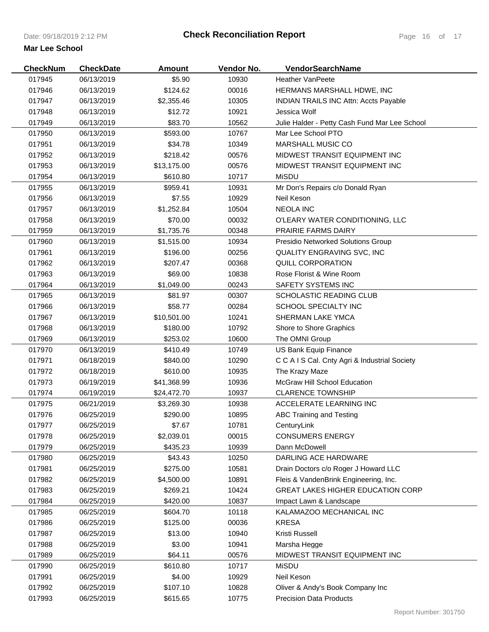| <b>CheckNum</b> | <b>CheckDate</b> | <b>Amount</b> | Vendor No. | VendorSearchName                              |
|-----------------|------------------|---------------|------------|-----------------------------------------------|
| 017945          | 06/13/2019       | \$5.90        | 10930      | <b>Heather VanPeete</b>                       |
| 017946          | 06/13/2019       | \$124.62      | 00016      | HERMANS MARSHALL HDWE, INC                    |
| 017947          | 06/13/2019       | \$2,355.46    | 10305      | <b>INDIAN TRAILS INC Attn: Accts Payable</b>  |
| 017948          | 06/13/2019       | \$12.72       | 10921      | Jessica Wolf                                  |
| 017949          | 06/13/2019       | \$83.70       | 10562      | Julie Halder - Petty Cash Fund Mar Lee School |
| 017950          | 06/13/2019       | \$593.00      | 10767      | Mar Lee School PTO                            |
| 017951          | 06/13/2019       | \$34.78       | 10349      | <b>MARSHALL MUSIC CO</b>                      |
| 017952          | 06/13/2019       | \$218.42      | 00576      | MIDWEST TRANSIT EQUIPMENT INC                 |
| 017953          | 06/13/2019       | \$13,175.00   | 00576      | MIDWEST TRANSIT EQUIPMENT INC                 |
| 017954          | 06/13/2019       | \$610.80      | 10717      | <b>MiSDU</b>                                  |
| 017955          | 06/13/2019       | \$959.41      | 10931      | Mr Don's Repairs c/o Donald Ryan              |
| 017956          | 06/13/2019       | \$7.55        | 10929      | Neil Keson                                    |
| 017957          | 06/13/2019       | \$1,252.84    | 10504      | <b>NEOLA INC</b>                              |
| 017958          | 06/13/2019       | \$70.00       | 00032      | O'LEARY WATER CONDITIONING, LLC               |
| 017959          | 06/13/2019       | \$1,735.76    | 00348      | <b>PRAIRIE FARMS DAIRY</b>                    |
| 017960          | 06/13/2019       | \$1,515.00    | 10934      | Presidio Networked Solutions Group            |
| 017961          | 06/13/2019       | \$196.00      | 00256      | QUALITY ENGRAVING SVC, INC                    |
| 017962          | 06/13/2019       | \$207.47      | 00368      | QUILL CORPORATION                             |
| 017963          | 06/13/2019       | \$69.00       | 10838      | Rose Florist & Wine Room                      |
| 017964          | 06/13/2019       | \$1,049.00    | 00243      | SAFETY SYSTEMS INC                            |
| 017965          | 06/13/2019       | \$81.97       | 00307      | <b>SCHOLASTIC READING CLUB</b>                |
| 017966          | 06/13/2019       | \$58.77       | 00284      | <b>SCHOOL SPECIALTY INC</b>                   |
| 017967          | 06/13/2019       | \$10,501.00   | 10241      | SHERMAN LAKE YMCA                             |
| 017968          | 06/13/2019       | \$180.00      | 10792      | Shore to Shore Graphics                       |
| 017969          | 06/13/2019       | \$253.02      | 10600      | The OMNI Group                                |
| 017970          | 06/13/2019       | \$410.49      | 10749      | US Bank Equip Finance                         |
| 017971          | 06/18/2019       | \$840.00      | 10290      | C C A I S Cal. Cnty Agri & Industrial Society |
| 017972          | 06/18/2019       | \$610.00      | 10935      | The Krazy Maze                                |
| 017973          | 06/19/2019       | \$41,368.99   | 10936      | <b>McGraw Hill School Education</b>           |
| 017974          | 06/19/2019       | \$24,472.70   | 10937      | <b>CLARENCE TOWNSHIP</b>                      |
| 017975          | 06/21/2019       | \$3,269.30    | 10938      | ACCELERATE LEARNING INC                       |
| 017976          | 06/25/2019       | \$290.00      | 10895      | ABC Training and Testing                      |
| 017977          | 06/25/2019       | \$7.67        | 10781      | CenturyLink                                   |
| 017978          | 06/25/2019       | \$2,039.01    | 00015      | <b>CONSUMERS ENERGY</b>                       |
| 017979          | 06/25/2019       | \$435.23      | 10939      | Dann McDowell                                 |
| 017980          | 06/25/2019       | \$43.43       | 10250      | DARLING ACE HARDWARE                          |
| 017981          | 06/25/2019       | \$275.00      | 10581      | Drain Doctors c/o Roger J Howard LLC          |
| 017982          | 06/25/2019       | \$4,500.00    | 10891      | Fleis & VandenBrink Engineering, Inc.         |
| 017983          | 06/25/2019       | \$269.21      | 10424      | <b>GREAT LAKES HIGHER EDUCATION CORP</b>      |
| 017984          | 06/25/2019       | \$420.00      | 10837      | Impact Lawn & Landscape                       |
| 017985          | 06/25/2019       | \$604.70      | 10118      | KALAMAZOO MECHANICAL INC                      |
| 017986          | 06/25/2019       | \$125.00      | 00036      | <b>KRESA</b>                                  |
| 017987          | 06/25/2019       | \$13.00       | 10940      | Kristi Russell                                |
| 017988          | 06/25/2019       | \$3.00        | 10941      | Marsha Hegge                                  |
| 017989          | 06/25/2019       | \$64.11       | 00576      | MIDWEST TRANSIT EQUIPMENT INC                 |
| 017990          | 06/25/2019       | \$610.80      | 10717      | <b>MiSDU</b>                                  |
| 017991          | 06/25/2019       | \$4.00        | 10929      | Neil Keson                                    |
| 017992          | 06/25/2019       | \$107.10      | 10828      | Oliver & Andy's Book Company Inc              |
| 017993          | 06/25/2019       | \$615.65      | 10775      | <b>Precision Data Products</b>                |